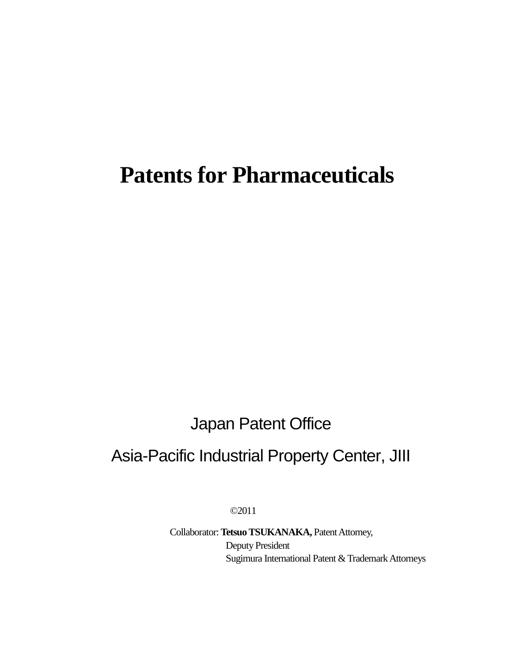# **Patents for Pharmaceuticals**

Japan Patent Office

## Asia-Pacific Industrial Property Center, JIII

©2011

Collaborator: **Tetsuo TSUKANAKA,** Patent Attorney, Deputy President Sugimura International Patent & Trademark Attorneys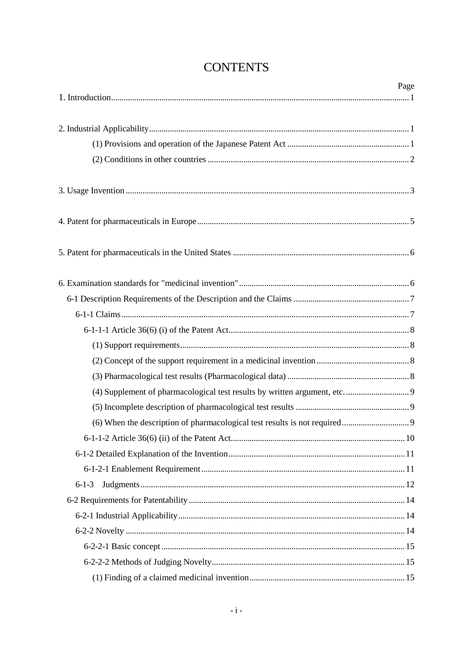|             | Page |
|-------------|------|
|             |      |
|             |      |
|             |      |
|             |      |
|             |      |
|             |      |
|             |      |
|             |      |
|             |      |
|             |      |
|             |      |
|             |      |
|             |      |
|             |      |
|             |      |
|             |      |
|             |      |
|             |      |
|             |      |
|             |      |
| $6 - 1 - 3$ |      |
|             |      |
|             |      |
|             |      |
|             |      |
|             |      |
|             |      |

## **CONTENTS**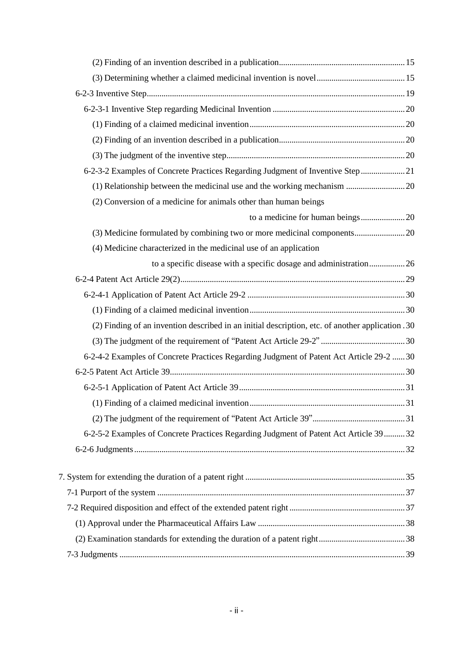| 6-2-3-2 Examples of Concrete Practices Regarding Judgment of Inventive Step  21                  |  |
|--------------------------------------------------------------------------------------------------|--|
| (1) Relationship between the medicinal use and the working mechanism  20                         |  |
| (2) Conversion of a medicine for animals other than human beings                                 |  |
|                                                                                                  |  |
|                                                                                                  |  |
| (4) Medicine characterized in the medicinal use of an application                                |  |
| to a specific disease with a specific dosage and administration26                                |  |
|                                                                                                  |  |
|                                                                                                  |  |
|                                                                                                  |  |
| (2) Finding of an invention described in an initial description, etc. of another application .30 |  |
|                                                                                                  |  |
| 6-2-4-2 Examples of Concrete Practices Regarding Judgment of Patent Act Article 29-2  30         |  |
|                                                                                                  |  |
|                                                                                                  |  |
|                                                                                                  |  |
|                                                                                                  |  |
| 6-2-5-2 Examples of Concrete Practices Regarding Judgment of Patent Act Article 39  32           |  |
|                                                                                                  |  |
|                                                                                                  |  |
|                                                                                                  |  |
|                                                                                                  |  |
|                                                                                                  |  |
|                                                                                                  |  |
|                                                                                                  |  |
|                                                                                                  |  |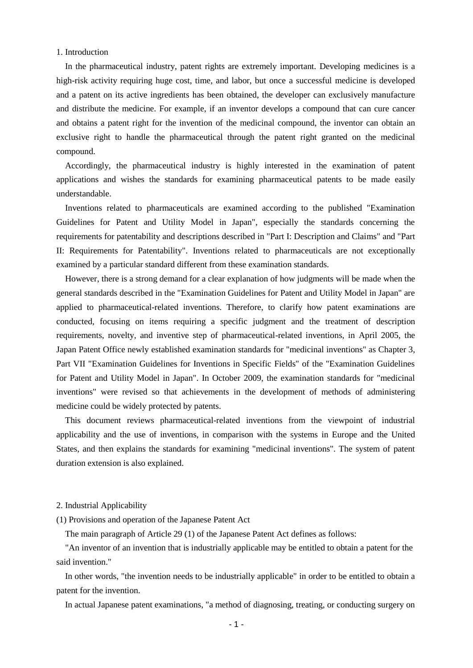## 1. Introduction

In the pharmaceutical industry, patent rights are extremely important. Developing medicines is a high-risk activity requiring huge cost, time, and labor, but once a successful medicine is developed and a patent on its active ingredients has been obtained, the developer can exclusively manufacture and distribute the medicine. For example, if an inventor develops a compound that can cure cancer and obtains a patent right for the invention of the medicinal compound, the inventor can obtain an exclusive right to handle the pharmaceutical through the patent right granted on the medicinal compound.

Accordingly, the pharmaceutical industry is highly interested in the examination of patent applications and wishes the standards for examining pharmaceutical patents to be made easily understandable.

Inventions related to pharmaceuticals are examined according to the published "Examination Guidelines for Patent and Utility Model in Japan", especially the standards concerning the requirements for patentability and descriptions described in "Part I: Description and Claims" and "Part II: Requirements for Patentability". Inventions related to pharmaceuticals are not exceptionally examined by a particular standard different from these examination standards.

However, there is a strong demand for a clear explanation of how judgments will be made when the general standards described in the "Examination Guidelines for Patent and Utility Model in Japan" are applied to pharmaceutical-related inventions. Therefore, to clarify how patent examinations are conducted, focusing on items requiring a specific judgment and the treatment of description requirements, novelty, and inventive step of pharmaceutical-related inventions, in April 2005, the Japan Patent Office newly established examination standards for "medicinal inventions" as Chapter 3, Part VII "Examination Guidelines for Inventions in Specific Fields" of the "Examination Guidelines for Patent and Utility Model in Japan". In October 2009, the examination standards for "medicinal inventions" were revised so that achievements in the development of methods of administering medicine could be widely protected by patents.

This document reviews pharmaceutical-related inventions from the viewpoint of industrial applicability and the use of inventions, in comparison with the systems in Europe and the United States, and then explains the standards for examining "medicinal inventions". The system of patent duration extension is also explained.

## 2. Industrial Applicability

(1) Provisions and operation of the Japanese Patent Act

The main paragraph of Article 29 (1) of the Japanese Patent Act defines as follows:

"An inventor of an invention that is industrially applicable may be entitled to obtain a patent for the said invention."

In other words, "the invention needs to be industrially applicable" in order to be entitled to obtain a patent for the invention.

In actual Japanese patent examinations, "a method of diagnosing, treating, or conducting surgery on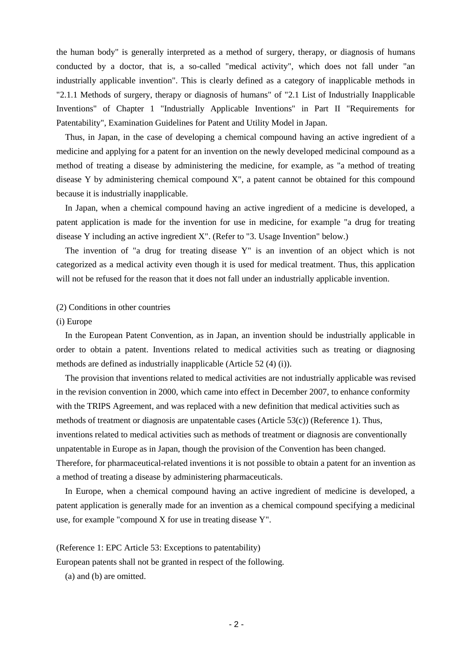the human body" is generally interpreted as a method of surgery, therapy, or diagnosis of humans conducted by a doctor, that is, a so-called "medical activity", which does not fall under "an industrially applicable invention". This is clearly defined as a category of inapplicable methods in "2.1.1 Methods of surgery, therapy or diagnosis of humans" of "2.1 List of Industrially Inapplicable Inventions" of Chapter 1 "Industrially Applicable Inventions" in Part II "Requirements for Patentability", Examination Guidelines for Patent and Utility Model in Japan.

Thus, in Japan, in the case of developing a chemical compound having an active ingredient of a medicine and applying for a patent for an invention on the newly developed medicinal compound as a method of treating a disease by administering the medicine, for example, as "a method of treating disease Y by administering chemical compound X", a patent cannot be obtained for this compound because it is industrially inapplicable.

In Japan, when a chemical compound having an active ingredient of a medicine is developed, a patent application is made for the invention for use in medicine, for example "a drug for treating disease Y including an active ingredient X". (Refer to "3. Usage Invention" below.)

The invention of "a drug for treating disease Y" is an invention of an object which is not categorized as a medical activity even though it is used for medical treatment. Thus, this application will not be refused for the reason that it does not fall under an industrially applicable invention.

#### (2) Conditions in other countries

## (i) Europe

In the European Patent Convention, as in Japan, an invention should be industrially applicable in order to obtain a patent. Inventions related to medical activities such as treating or diagnosing methods are defined as industrially inapplicable (Article 52 (4) (i)).

The provision that inventions related to medical activities are not industrially applicable was revised in the revision convention in 2000, which came into effect in December 2007, to enhance conformity with the TRIPS Agreement, and was replaced with a new definition that medical activities such as methods of treatment or diagnosis are unpatentable cases (Article 53(c)) (Reference 1). Thus, inventions related to medical activities such as methods of treatment or diagnosis are conventionally unpatentable in Europe as in Japan, though the provision of the Convention has been changed. Therefore, for pharmaceutical-related inventions it is not possible to obtain a patent for an invention as a method of treating a disease by administering pharmaceuticals.

In Europe, when a chemical compound having an active ingredient of medicine is developed, a patent application is generally made for an invention as a chemical compound specifying a medicinal use, for example "compound X for use in treating disease Y".

(Reference 1: EPC Article 53: Exceptions to patentability)

European patents shall not be granted in respect of the following.

(a) and (b) are omitted.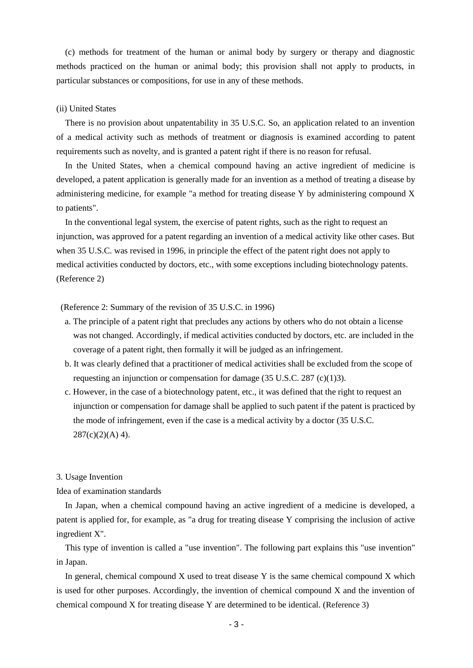(c) methods for treatment of the human or animal body by surgery or therapy and diagnostic methods practiced on the human or animal body; this provision shall not apply to products, in particular substances or compositions, for use in any of these methods.

## (ii) United States

There is no provision about unpatentability in 35 U.S.C. So, an application related to an invention of a medical activity such as methods of treatment or diagnosis is examined according to patent requirements such as novelty, and is granted a patent right if there is no reason for refusal.

In the United States, when a chemical compound having an active ingredient of medicine is developed, a patent application is generally made for an invention as a method of treating a disease by administering medicine, for example "a method for treating disease Y by administering compound X to patients".

In the conventional legal system, the exercise of patent rights, such as the right to request an injunction, was approved for a patent regarding an invention of a medical activity like other cases. But when 35 U.S.C. was revised in 1996, in principle the effect of the patent right does not apply to medical activities conducted by doctors, etc., with some exceptions including biotechnology patents. (Reference 2)

## (Reference 2: Summary of the revision of 35 U.S.C. in 1996)

- a. The principle of a patent right that precludes any actions by others who do not obtain a license was not changed. Accordingly, if medical activities conducted by doctors, etc. are included in the coverage of a patent right, then formally it will be judged as an infringement.
- b. It was clearly defined that a practitioner of medical activities shall be excluded from the scope of requesting an injunction or compensation for damage (35 U.S.C. 287 (c)(1)3).
- c. However, in the case of a biotechnology patent, etc., it was defined that the right to request an injunction or compensation for damage shall be applied to such patent if the patent is practiced by the mode of infringement, even if the case is a medical activity by a doctor (35 U.S.C.  $287(c)(2)(A)$  4).

## 3. Usage Invention

## Idea of examination standards

In Japan, when a chemical compound having an active ingredient of a medicine is developed, a patent is applied for, for example, as "a drug for treating disease Y comprising the inclusion of active ingredient X".

This type of invention is called a "use invention". The following part explains this "use invention" in Japan.

In general, chemical compound  $X$  used to treat disease  $Y$  is the same chemical compound  $X$  which is used for other purposes. Accordingly, the invention of chemical compound X and the invention of chemical compound X for treating disease Y are determined to be identical. (Reference 3)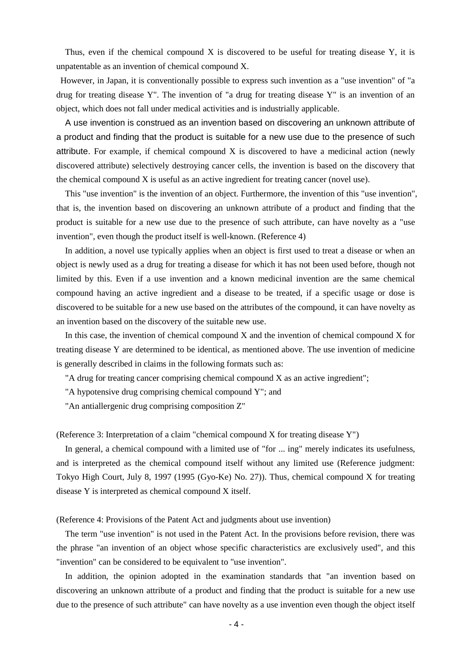Thus, even if the chemical compound  $X$  is discovered to be useful for treating disease  $Y$ , it is unpatentable as an invention of chemical compound X.

However, in Japan, it is conventionally possible to express such invention as a "use invention" of "a drug for treating disease Y". The invention of "a drug for treating disease Y" is an invention of an object, which does not fall under medical activities and is industrially applicable.

A use invention is construed as an invention based on discovering an unknown attribute of a product and finding that the product is suitable for a new use due to the presence of such attribute. For example, if chemical compound X is discovered to have a medicinal action (newly discovered attribute) selectively destroying cancer cells, the invention is based on the discovery that the chemical compound X is useful as an active ingredient for treating cancer (novel use).

This "use invention" is the invention of an object. Furthermore, the invention of this "use invention", that is, the invention based on discovering an unknown attribute of a product and finding that the product is suitable for a new use due to the presence of such attribute, can have novelty as a "use invention", even though the product itself is well-known. (Reference 4)

In addition, a novel use typically applies when an object is first used to treat a disease or when an object is newly used as a drug for treating a disease for which it has not been used before, though not limited by this. Even if a use invention and a known medicinal invention are the same chemical compound having an active ingredient and a disease to be treated, if a specific usage or dose is discovered to be suitable for a new use based on the attributes of the compound, it can have novelty as an invention based on the discovery of the suitable new use.

In this case, the invention of chemical compound X and the invention of chemical compound X for treating disease Y are determined to be identical, as mentioned above. The use invention of medicine is generally described in claims in the following formats such as:

"A drug for treating cancer comprising chemical compound X as an active ingredient";

"A hypotensive drug comprising chemical compound Y"; and

"An antiallergenic drug comprising composition Z"

(Reference 3: Interpretation of a claim "chemical compound X for treating disease Y")

In general, a chemical compound with a limited use of "for ... ing" merely indicates its usefulness, and is interpreted as the chemical compound itself without any limited use (Reference judgment: Tokyo High Court, July 8, 1997 (1995 (Gyo-Ke) No. 27)). Thus, chemical compound X for treating disease Y is interpreted as chemical compound X itself.

(Reference 4: Provisions of the Patent Act and judgments about use invention)

The term "use invention" is not used in the Patent Act. In the provisions before revision, there was the phrase "an invention of an object whose specific characteristics are exclusively used", and this "invention" can be considered to be equivalent to "use invention".

In addition, the opinion adopted in the examination standards that "an invention based on discovering an unknown attribute of a product and finding that the product is suitable for a new use due to the presence of such attribute" can have novelty as a use invention even though the object itself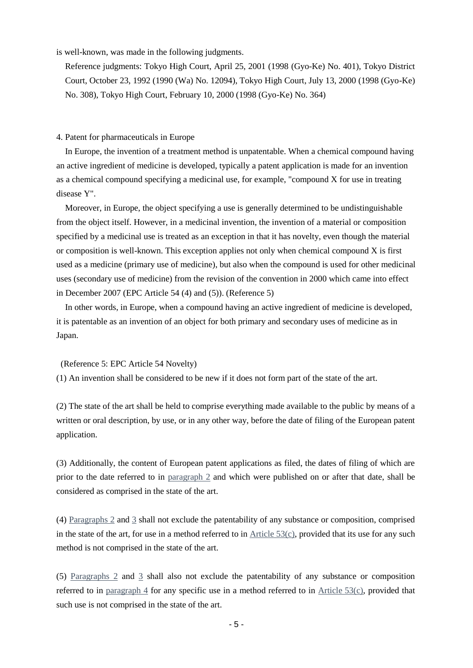is well-known, was made in the following judgments.

Reference judgments: Tokyo High Court, April 25, 2001 (1998 (Gyo-Ke) No. 401), Tokyo District Court, October 23, 1992 (1990 (Wa) No. 12094), Tokyo High Court, July 13, 2000 (1998 (Gyo-Ke) No. 308), Tokyo High Court, February 10, 2000 (1998 (Gyo-Ke) No. 364)

4. Patent for pharmaceuticals in Europe

In Europe, the invention of a treatment method is unpatentable. When a chemical compound having an active ingredient of medicine is developed, typically a patent application is made for an invention as a chemical compound specifying a medicinal use, for example, "compound X for use in treating disease Y".

Moreover, in Europe, the object specifying a use is generally determined to be undistinguishable from the object itself. However, in a medicinal invention, the invention of a material or composition specified by a medicinal use is treated as an exception in that it has novelty, even though the material or composition is well-known. This exception applies not only when chemical compound  $X$  is first used as a medicine (primary use of medicine), but also when the compound is used for other medicinal uses (secondary use of medicine) from the revision of the convention in 2000 which came into effect in December 2007 (EPC Article 54 (4) and (5)). (Reference 5)

In other words, in Europe, when a compound having an active ingredient of medicine is developed, it is patentable as an invention of an object for both primary and secondary uses of medicine as in Japan.

(Reference 5: EPC Article 54 Novelty)

(1) An invention shall be considered to be new if it does not form part of the state of the art.

(2) The state of the art shall be held to comprise everything made available to the public by means of a written or oral description, by use, or in any other way, before the date of filing of the European patent application.

(3) Additionally, the content of European patent applications as filed, the dates of filing of which are prior to the date referred to in [paragraph](http://www.epo.org/patents/law/legal-texts/html/epc/2000/e/ar54.html) 2 and which were published on or after that date, shall be considered as comprised in the state of the art.

(4) [Paragraphs](http://www.epo.org/patents/law/legal-texts/html/epc/2000/e/ar54.html) 2 and [3](http://www.epo.org/patents/law/legal-texts/html/epc/2000/e/ar54.html) shall not exclude the patentability of any substance or composition, comprised in the state of the art, for use in a method referred to in [Article](http://www.epo.org/patents/law/legal-texts/html/epc/2000/e/ar53.html) 53(c), provided that its use for any such method is not comprised in the state of the art.

(5) [Paragraphs](http://www.epo.org/patents/law/legal-texts/html/epc/2000/e/ar54.html)  $2$  and  $3$  shall also not exclude the patentability of any substance or composition referred to in [paragraph 4](http://www.epo.org/patents/law/legal-texts/html/epc/2000/e/ar54.html) for any specific use in a method referred to in [Article](http://www.epo.org/patents/law/legal-texts/html/epc/2000/e/ar53.html)  $53(c)$ , provided that such use is not comprised in the state of the art.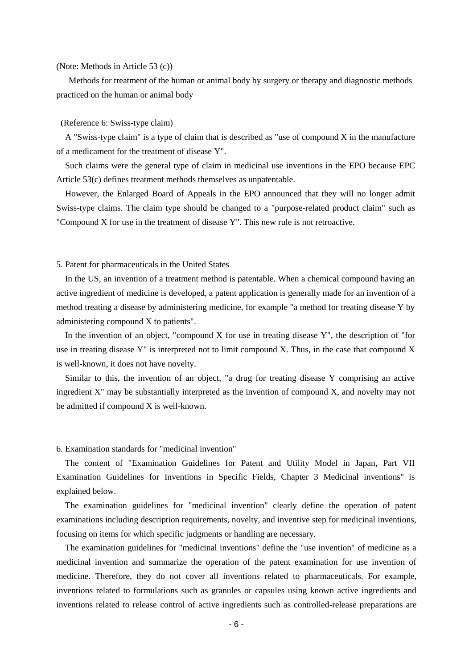## (Note: Methods in Article 53 (c))

Methods for treatment of the human or animal body by surgery or therapy and diagnostic methods practiced on the human or animal body

## (Reference 6: Swiss-type claim)

A "Swiss-type claim" is a type of claim that is described as "use of compound X in the manufacture of a medicament for the treatment of disease Y".

Such claims were the general type of claim in medicinal use inventions in the EPO because EPC Article 53(c) defines treatment methods themselves as unpatentable.

However, the Enlarged Board of Appeals in the EPO announced that they will no longer admit Swiss-type claims. The claim type should be changed to a "purpose-related product claim" such as "Compound X for use in the treatment of disease Y". This new rule is not retroactive.

## 5. Patent for pharmaceuticals in the United States

In the US, an invention of a treatment method is patentable. When a chemical compound having an active ingredient of medicine is developed, a patent application is generally made for an invention of a method treating a disease by administering medicine, for example "a method for treating disease Y by administering compound X to patients".

In the invention of an object, "compound X for use in treating disease Y", the description of "for use in treating disease Y" is interpreted not to limit compound X. Thus, in the case that compound X is well-known, it does not have novelty.

Similar to this, the invention of an object, "a drug for treating disease Y comprising an active ingredient X" may be substantially interpreted as the invention of compound X, and novelty may not be admitted if compound X is well-known.

## 6. Examination standards for "medicinal invention"

The content of "Examination Guidelines for Patent and Utility Model in Japan, Part VII Examination Guidelines for Inventions in Specific Fields, Chapter 3 Medicinal inventions" is explained below.

The examination guidelines for "medicinal invention" clearly define the operation of patent examinations including description requirements, novelty, and inventive step for medicinal inventions, focusing on items for which specific judgments or handling are necessary.

The examination guidelines for "medicinal inventions" define the "use invention" of medicine as a medicinal invention and summarize the operation of the patent examination for use invention of medicine. Therefore, they do not cover all inventions related to pharmaceuticals. For example, inventions related to formulations such as granules or capsules using known active ingredients and inventions related to release control of active ingredients such as controlled-release preparations are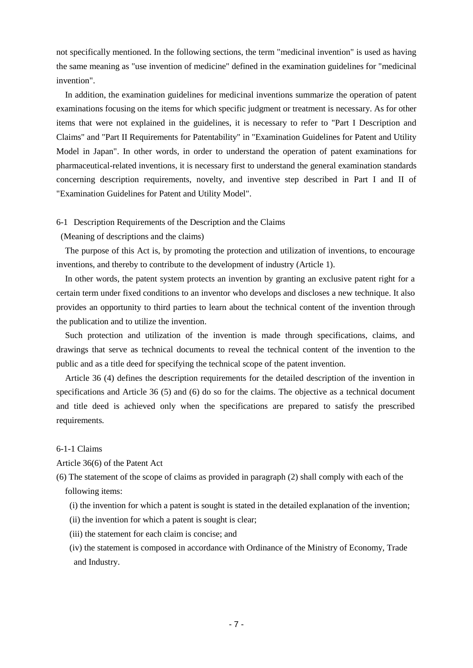not specifically mentioned. In the following sections, the term "medicinal invention" is used as having the same meaning as "use invention of medicine" defined in the examination guidelines for "medicinal invention".

In addition, the examination guidelines for medicinal inventions summarize the operation of patent examinations focusing on the items for which specific judgment or treatment is necessary. As for other items that were not explained in the guidelines, it is necessary to refer to "Part I Description and Claims" and "Part II Requirements for Patentability" in "Examination Guidelines for Patent and Utility Model in Japan". In other words, in order to understand the operation of patent examinations for pharmaceutical-related inventions, it is necessary first to understand the general examination standards concerning description requirements, novelty, and inventive step described in Part I and II of "Examination Guidelines for Patent and Utility Model".

## 6-1 Description Requirements of the Description and the Claims

(Meaning of descriptions and the claims)

The purpose of this Act is, by promoting the protection and utilization of inventions, to encourage inventions, and thereby to contribute to the development of industry (Article 1).

In other words, the patent system protects an invention by granting an exclusive patent right for a certain term under fixed conditions to an inventor who develops and discloses a new technique. It also provides an opportunity to third parties to learn about the technical content of the invention through the publication and to utilize the invention.

Such protection and utilization of the invention is made through specifications, claims, and drawings that serve as technical documents to reveal the technical content of the invention to the public and as a title deed for specifying the technical scope of the patent invention.

Article 36 (4) defines the description requirements for the detailed description of the invention in specifications and Article 36 (5) and (6) do so for the claims. The objective as a technical document and title deed is achieved only when the specifications are prepared to satisfy the prescribed requirements.

## 6-1-1 Claims

Article 36(6) of the Patent Act

(6) The statement of the scope of claims as provided in paragraph (2) shall comply with each of the following items:

(i) the invention for which a patent is sought is stated in the detailed explanation of the invention;

(ii) the invention for which a patent is sought is clear;

(iii) the statement for each claim is concise; and

(iv) the statement is composed in accordance with Ordinance of the Ministry of Economy, Trade and Industry.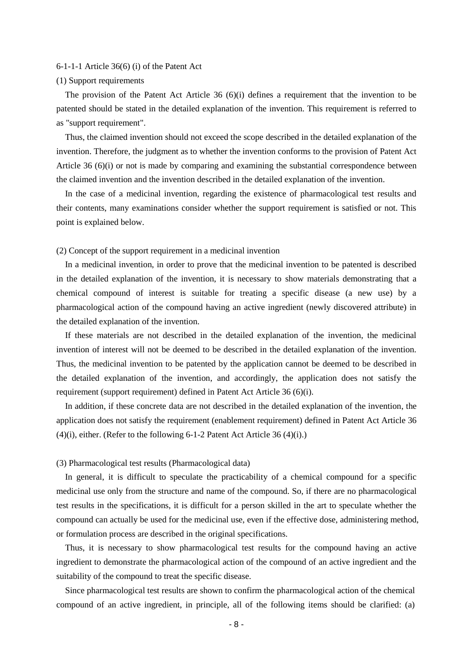## 6-1-1-1 Article 36(6) (i) of the Patent Act

#### (1) Support requirements

The provision of the Patent Act Article 36 (6)(i) defines a requirement that the invention to be patented should be stated in the detailed explanation of the invention. This requirement is referred to as "support requirement".

Thus, the claimed invention should not exceed the scope described in the detailed explanation of the invention. Therefore, the judgment as to whether the invention conforms to the provision of Patent Act Article 36 (6)(i) or not is made by comparing and examining the substantial correspondence between the claimed invention and the invention described in the detailed explanation of the invention.

In the case of a medicinal invention, regarding the existence of pharmacological test results and their contents, many examinations consider whether the support requirement is satisfied or not. This point is explained below.

(2) Concept of the support requirement in a medicinal invention

In a medicinal invention, in order to prove that the medicinal invention to be patented is described in the detailed explanation of the invention, it is necessary to show materials demonstrating that a chemical compound of interest is suitable for treating a specific disease (a new use) by a pharmacological action of the compound having an active ingredient (newly discovered attribute) in the detailed explanation of the invention.

If these materials are not described in the detailed explanation of the invention, the medicinal invention of interest will not be deemed to be described in the detailed explanation of the invention. Thus, the medicinal invention to be patented by the application cannot be deemed to be described in the detailed explanation of the invention, and accordingly, the application does not satisfy the requirement (support requirement) defined in Patent Act Article 36 (6)(i).

In addition, if these concrete data are not described in the detailed explanation of the invention, the application does not satisfy the requirement (enablement requirement) defined in Patent Act Article 36 (4)(i), either. (Refer to the following 6-1-2 Patent Act Article 36 (4)(i).)

## (3) Pharmacological test results (Pharmacological data)

In general, it is difficult to speculate the practicability of a chemical compound for a specific medicinal use only from the structure and name of the compound. So, if there are no pharmacological test results in the specifications, it is difficult for a person skilled in the art to speculate whether the compound can actually be used for the medicinal use, even if the effective dose, administering method, or formulation process are described in the original specifications.

Thus, it is necessary to show pharmacological test results for the compound having an active ingredient to demonstrate the pharmacological action of the compound of an active ingredient and the suitability of the compound to treat the specific disease.

Since pharmacological test results are shown to confirm the pharmacological action of the chemical compound of an active ingredient, in principle, all of the following items should be clarified: (a)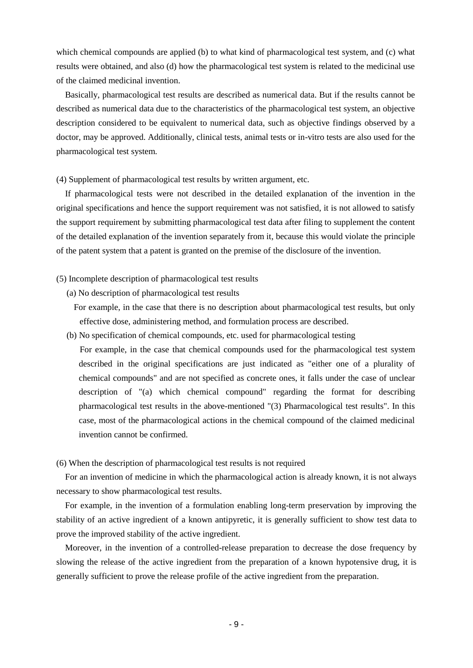which chemical compounds are applied (b) to what kind of pharmacological test system, and (c) what results were obtained, and also (d) how the pharmacological test system is related to the medicinal use of the claimed medicinal invention.

Basically, pharmacological test results are described as numerical data. But if the results cannot be described as numerical data due to the characteristics of the pharmacological test system, an objective description considered to be equivalent to numerical data, such as objective findings observed by a doctor, may be approved. Additionally, clinical tests, animal tests or in-vitro tests are also used for the pharmacological test system.

## (4) Supplement of pharmacological test results by written argument, etc.

If pharmacological tests were not described in the detailed explanation of the invention in the original specifications and hence the support requirement was not satisfied, it is not allowed to satisfy the support requirement by submitting pharmacological test data after filing to supplement the content of the detailed explanation of the invention separately from it, because this would violate the principle of the patent system that a patent is granted on the premise of the disclosure of the invention.

## (5) Incomplete description of pharmacological test results

- (a) No description of pharmacological test results
	- For example, in the case that there is no description about pharmacological test results, but only effective dose, administering method, and formulation process are described.
- (b) No specification of chemical compounds, etc. used for pharmacological testing
	- For example, in the case that chemical compounds used for the pharmacological test system described in the original specifications are just indicated as "either one of a plurality of chemical compounds" and are not specified as concrete ones, it falls under the case of unclear description of "(a) which chemical compound" regarding the format for describing pharmacological test results in the above-mentioned "(3) Pharmacological test results". In this case, most of the pharmacological actions in the chemical compound of the claimed medicinal invention cannot be confirmed.

(6) When the description of pharmacological test results is not required

For an invention of medicine in which the pharmacological action is already known, it is not always necessary to show pharmacological test results.

For example, in the invention of a formulation enabling long-term preservation by improving the stability of an active ingredient of a known antipyretic, it is generally sufficient to show test data to prove the improved stability of the active ingredient.

Moreover, in the invention of a controlled-release preparation to decrease the dose frequency by slowing the release of the active ingredient from the preparation of a known hypotensive drug, it is generally sufficient to prove the release profile of the active ingredient from the preparation.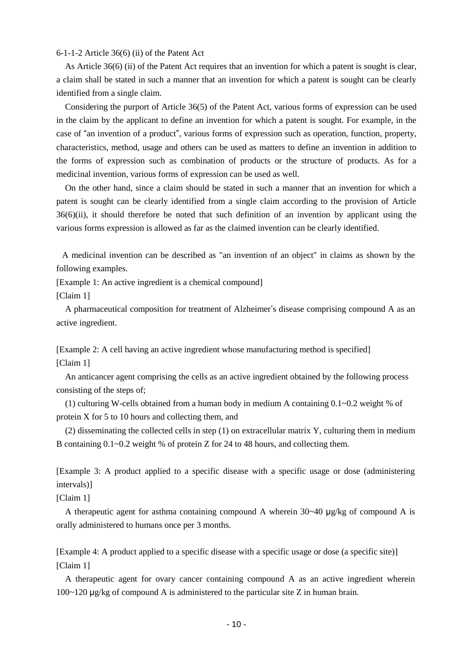## 6-1-1-2 Article 36(6) (ii) of the Patent Act

As Article 36(6) (ii) of the Patent Act requires that an invention for which a patent is sought is clear, a claim shall be stated in such a manner that an invention for which a patent is sought can be clearly identified from a single claim.

Considering the purport of Article 36(5) of the Patent Act, various forms of expression can be used in the claim by the applicant to define an invention for which a patent is sought. For example, in the case of "an invention of a product", various forms of expression such as operation, function, property, characteristics, method, usage and others can be used as matters to define an invention in addition to the forms of expression such as combination of products or the structure of products. As for a medicinal invention, various forms of expression can be used as well.

On the other hand, since a claim should be stated in such a manner that an invention for which a patent is sought can be clearly identified from a single claim according to the provision of Article 36(6)(ii), it should therefore be noted that such definition of an invention by applicant using the various forms expression is allowed as far as the claimed invention can be clearly identified.

A medicinal invention can be described as "an invention of an object" in claims as shown by the following examples.

[Example 1: An active ingredient is a chemical compound]

[Claim 1]

A pharmaceutical composition for treatment of Alzheimer's disease comprising compound A as an active ingredient.

[Example 2: A cell having an active ingredient whose manufacturing method is specified] [Claim 1]

An anticancer agent comprising the cells as an active ingredient obtained by the following process consisting of the steps of;

(1) culturing W-cells obtained from a human body in medium A containing 0.1~0.2 weight % of protein X for 5 to 10 hours and collecting them, and

(2) disseminating the collected cells in step (1) on extracellular matrix Y, culturing them in medium B containing 0.1~0.2 weight % of protein Z for 24 to 48 hours, and collecting them.

[Example 3: A product applied to a specific disease with a specific usage or dose (administering intervals)]

[Claim 1]

A therapeutic agent for asthma containing compound A wherein  $30~40 \mu$ g/kg of compound A is orally administered to humans once per 3 months.

[Example 4: A product applied to a specific disease with a specific usage or dose (a specific site)] [Claim 1]

A therapeutic agent for ovary cancer containing compound A as an active ingredient wherein 100~120 μg/kg of compound A is administered to the particular site Z in human brain.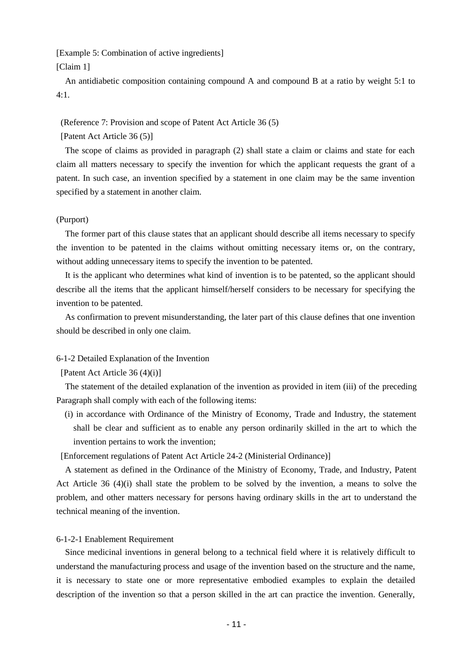[Example 5: Combination of active ingredients] [Claim 1]

An antidiabetic composition containing compound A and compound B at a ratio by weight 5:1 to  $4.1$ 

## (Reference 7: Provision and scope of Patent Act Article 36 (5)

[Patent Act Article 36 (5)]

The scope of claims as provided in paragraph (2) shall state a claim or claims and state for each claim all matters necessary to specify the invention for which the applicant requests the grant of a patent. In such case, an invention specified by a statement in one claim may be the same invention specified by a statement in another claim.

### (Purport)

The former part of this clause states that an applicant should describe all items necessary to specify the invention to be patented in the claims without omitting necessary items or, on the contrary, without adding unnecessary items to specify the invention to be patented.

It is the applicant who determines what kind of invention is to be patented, so the applicant should describe all the items that the applicant himself/herself considers to be necessary for specifying the invention to be patented.

As confirmation to prevent misunderstanding, the later part of this clause defines that one invention should be described in only one claim.

## 6-1-2 Detailed Explanation of the Invention

[Patent Act Article 36 (4)(i)]

The statement of the detailed explanation of the invention as provided in item (iii) of the preceding Paragraph shall comply with each of the following items:

(i) in accordance with Ordinance of the Ministry of Economy, Trade and Industry, the statement shall be clear and sufficient as to enable any person ordinarily skilled in the art to which the invention pertains to work the invention;

[Enforcement regulations of Patent Act Article 24-2 (Ministerial Ordinance)]

A statement as defined in the Ordinance of the Ministry of Economy, Trade, and Industry, Patent Act Article 36 (4)(i) shall state the problem to be solved by the invention, a means to solve the problem, and other matters necessary for persons having ordinary skills in the art to understand the technical meaning of the invention.

## 6-1-2-1 Enablement Requirement

Since medicinal inventions in general belong to a technical field where it is relatively difficult to understand the manufacturing process and usage of the invention based on the structure and the name, it is necessary to state one or more representative embodied examples to explain the detailed description of the invention so that a person skilled in the art can practice the invention. Generally,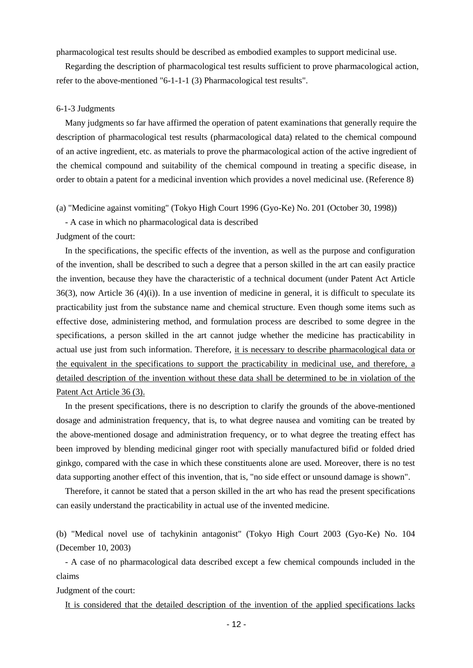pharmacological test results should be described as embodied examples to support medicinal use.

Regarding the description of pharmacological test results sufficient to prove pharmacological action, refer to the above-mentioned "6-1-1-1 (3) Pharmacological test results".

## 6-1-3 Judgments

Many judgments so far have affirmed the operation of patent examinations that generally require the description of pharmacological test results (pharmacological data) related to the chemical compound of an active ingredient, etc. as materials to prove the pharmacological action of the active ingredient of the chemical compound and suitability of the chemical compound in treating a specific disease, in order to obtain a patent for a medicinal invention which provides a novel medicinal use. (Reference 8)

(a) "Medicine against vomiting" (Tokyo High Court 1996 (Gyo-Ke) No. 201 (October 30, 1998))

- A case in which no pharmacological data is described

Judgment of the court:

In the specifications, the specific effects of the invention, as well as the purpose and configuration of the invention, shall be described to such a degree that a person skilled in the art can easily practice the invention, because they have the characteristic of a technical document (under Patent Act Article 36(3), now Article 36 (4)(i)). In a use invention of medicine in general, it is difficult to speculate its practicability just from the substance name and chemical structure. Even though some items such as effective dose, administering method, and formulation process are described to some degree in the specifications, a person skilled in the art cannot judge whether the medicine has practicability in actual use just from such information. Therefore, it is necessary to describe pharmacological data or the equivalent in the specifications to support the practicability in medicinal use, and therefore, a detailed description of the invention without these data shall be determined to be in violation of the Patent Act Article 36 (3).

In the present specifications, there is no description to clarify the grounds of the above-mentioned dosage and administration frequency, that is, to what degree nausea and vomiting can be treated by the above-mentioned dosage and administration frequency, or to what degree the treating effect has been improved by blending medicinal ginger root with specially manufactured bifid or folded dried ginkgo, compared with the case in which these constituents alone are used. Moreover, there is no test data supporting another effect of this invention, that is, "no side effect or unsound damage is shown".

Therefore, it cannot be stated that a person skilled in the art who has read the present specifications can easily understand the practicability in actual use of the invented medicine.

(b) "Medical novel use of tachykinin antagonist" (Tokyo High Court 2003 (Gyo-Ke) No. 104 (December 10, 2003)

- A case of no pharmacological data described except a few chemical compounds included in the claims

Judgment of the court:

It is considered that the detailed description of the invention of the applied specifications lacks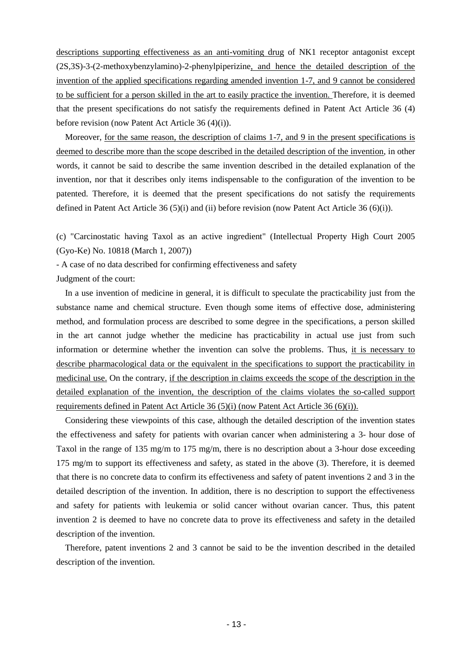descriptions supporting effectiveness as an anti-vomiting drug of NK1 receptor antagonist except (2S,3S)-3-(2-methoxybenzylamino)-2-phenylpiperizine, and hence the detailed description of the invention of the applied specifications regarding amended invention 1-7, and 9 cannot be considered to be sufficient for a person skilled in the art to easily practice the invention. Therefore, it is deemed that the present specifications do not satisfy the requirements defined in Patent Act Article 36 (4) before revision (now Patent Act Article 36 (4)(i)).

Moreover, for the same reason, the description of claims 1-7, and 9 in the present specifications is deemed to describe more than the scope described in the detailed description of the invention, in other words, it cannot be said to describe the same invention described in the detailed explanation of the invention, nor that it describes only items indispensable to the configuration of the invention to be patented. Therefore, it is deemed that the present specifications do not satisfy the requirements defined in Patent Act Article 36 (5)(i) and (ii) before revision (now Patent Act Article 36 (6)(i)).

(c) "Carcinostatic having Taxol as an active ingredient" (Intellectual Property High Court 2005 (Gyo-Ke) No. 10818 (March 1, 2007))

- A case of no data described for confirming effectiveness and safety

Judgment of the court:

In a use invention of medicine in general, it is difficult to speculate the practicability just from the substance name and chemical structure. Even though some items of effective dose, administering method, and formulation process are described to some degree in the specifications, a person skilled in the art cannot judge whether the medicine has practicability in actual use just from such information or determine whether the invention can solve the problems. Thus, it is necessary to describe pharmacological data or the equivalent in the specifications to support the practicability in medicinal use. On the contrary, if the description in claims exceeds the scope of the description in the detailed explanation of the invention, the description of the claims violates the so-called support requirements defined in Patent Act Article 36 (5)(i) (now Patent Act Article 36 (6)(i)).

Considering these viewpoints of this case, although the detailed description of the invention states the effectiveness and safety for patients with ovarian cancer when administering a 3- hour dose of Taxol in the range of 135 mg/m to 175 mg/m, there is no description about a 3-hour dose exceeding 175 mg/m to support its effectiveness and safety, as stated in the above (3). Therefore, it is deemed that there is no concrete data to confirm its effectiveness and safety of patent inventions 2 and 3 in the detailed description of the invention. In addition, there is no description to support the effectiveness and safety for patients with leukemia or solid cancer without ovarian cancer. Thus, this patent invention 2 is deemed to have no concrete data to prove its effectiveness and safety in the detailed description of the invention.

Therefore, patent inventions 2 and 3 cannot be said to be the invention described in the detailed description of the invention.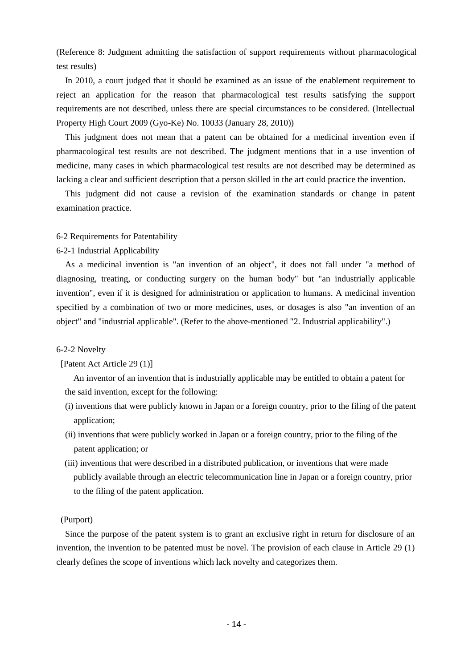(Reference 8: Judgment admitting the satisfaction of support requirements without pharmacological test results)

In 2010, a court judged that it should be examined as an issue of the enablement requirement to reject an application for the reason that pharmacological test results satisfying the support requirements are not described, unless there are special circumstances to be considered. (Intellectual Property High Court 2009 (Gyo-Ke) No. 10033 (January 28, 2010))

This judgment does not mean that a patent can be obtained for a medicinal invention even if pharmacological test results are not described. The judgment mentions that in a use invention of medicine, many cases in which pharmacological test results are not described may be determined as lacking a clear and sufficient description that a person skilled in the art could practice the invention.

This judgment did not cause a revision of the examination standards or change in patent examination practice.

## 6-2 Requirements for Patentability

## 6-2-1 Industrial Applicability

As a medicinal invention is "an invention of an object", it does not fall under "a method of diagnosing, treating, or conducting surgery on the human body" but "an industrially applicable invention", even if it is designed for administration or application to humans. A medicinal invention specified by a combination of two or more medicines, uses, or dosages is also "an invention of an object" and "industrial applicable". (Refer to the above-mentioned "2. Industrial applicability".)

## 6-2-2 Novelty

## [Patent Act Article 29 (1)]

An inventor of an invention that is industrially applicable may be entitled to obtain a patent for the said invention, except for the following:

- (i) inventions that were publicly known in Japan or a foreign country, prior to the filing of the patent application;
- (ii) inventions that were publicly worked in Japan or a foreign country, prior to the filing of the patent application; or
- (iii) inventions that were described in a distributed publication, or inventions that were made publicly available through an electric telecommunication line in Japan or a foreign country, prior to the filing of the patent application.

## (Purport)

Since the purpose of the patent system is to grant an exclusive right in return for disclosure of an invention, the invention to be patented must be novel. The provision of each clause in Article 29 (1) clearly defines the scope of inventions which lack novelty and categorizes them.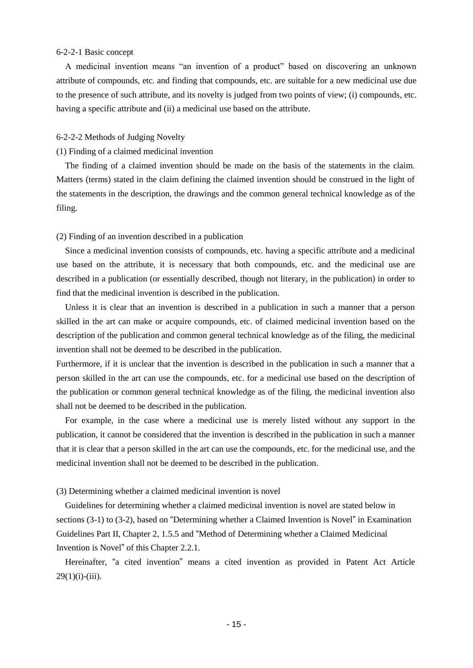## 6-2-2-1 Basic concept

A medicinal invention means "an invention of a product" based on discovering an unknown attribute of compounds, etc. and finding that compounds, etc. are suitable for a new medicinal use due to the presence of such attribute, and its novelty is judged from two points of view; (i) compounds, etc. having a specific attribute and (ii) a medicinal use based on the attribute.

## 6-2-2-2 Methods of Judging Novelty

## (1) Finding of a claimed medicinal invention

The finding of a claimed invention should be made on the basis of the statements in the claim. Matters (terms) stated in the claim defining the claimed invention should be construed in the light of the statements in the description, the drawings and the common general technical knowledge as of the filing.

## (2) Finding of an invention described in a publication

Since a medicinal invention consists of compounds, etc. having a specific attribute and a medicinal use based on the attribute, it is necessary that both compounds, etc. and the medicinal use are described in a publication (or essentially described, though not literary, in the publication) in order to find that the medicinal invention is described in the publication.

Unless it is clear that an invention is described in a publication in such a manner that a person skilled in the art can make or acquire compounds, etc. of claimed medicinal invention based on the description of the publication and common general technical knowledge as of the filing, the medicinal invention shall not be deemed to be described in the publication.

Furthermore, if it is unclear that the invention is described in the publication in such a manner that a person skilled in the art can use the compounds, etc. for a medicinal use based on the description of the publication or common general technical knowledge as of the filing, the medicinal invention also shall not be deemed to be described in the publication.

For example, in the case where a medicinal use is merely listed without any support in the publication, it cannot be considered that the invention is described in the publication in such a manner that it is clear that a person skilled in the art can use the compounds, etc. for the medicinal use, and the medicinal invention shall not be deemed to be described in the publication.

## (3) Determining whether a claimed medicinal invention is novel

Guidelines for determining whether a claimed medicinal invention is novel are stated below in sections (3-1) to (3-2), based on "Determining whether a Claimed Invention is Novel" in Examination Guidelines Part II, Chapter 2, 1.5.5 and "Method of Determining whether a Claimed Medicinal Invention is Novel" of this Chapter 2.2.1.

Hereinafter, "a cited invention" means a cited invention as provided in Patent Act Article  $29(1)(i)-(iii)$ .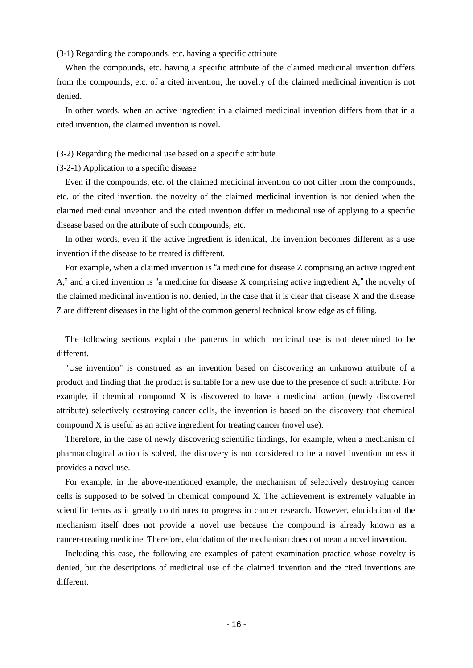(3-1) Regarding the compounds, etc. having a specific attribute

When the compounds, etc. having a specific attribute of the claimed medicinal invention differs from the compounds, etc. of a cited invention, the novelty of the claimed medicinal invention is not denied.

In other words, when an active ingredient in a claimed medicinal invention differs from that in a cited invention, the claimed invention is novel.

## (3-2) Regarding the medicinal use based on a specific attribute

(3-2-1) Application to a specific disease

Even if the compounds, etc. of the claimed medicinal invention do not differ from the compounds, etc. of the cited invention, the novelty of the claimed medicinal invention is not denied when the claimed medicinal invention and the cited invention differ in medicinal use of applying to a specific disease based on the attribute of such compounds, etc.

In other words, even if the active ingredient is identical, the invention becomes different as a use invention if the disease to be treated is different.

For example, when a claimed invention is "a medicine for disease Z comprising an active ingredient A," and a cited invention is "a medicine for disease X comprising active ingredient A," the novelty of the claimed medicinal invention is not denied, in the case that it is clear that disease X and the disease Z are different diseases in the light of the common general technical knowledge as of filing.

The following sections explain the patterns in which medicinal use is not determined to be different.

"Use invention" is construed as an invention based on discovering an unknown attribute of a product and finding that the product is suitable for a new use due to the presence of such attribute. For example, if chemical compound X is discovered to have a medicinal action (newly discovered attribute) selectively destroying cancer cells, the invention is based on the discovery that chemical compound X is useful as an active ingredient for treating cancer (novel use).

Therefore, in the case of newly discovering scientific findings, for example, when a mechanism of pharmacological action is solved, the discovery is not considered to be a novel invention unless it provides a novel use.

For example, in the above-mentioned example, the mechanism of selectively destroying cancer cells is supposed to be solved in chemical compound X. The achievement is extremely valuable in scientific terms as it greatly contributes to progress in cancer research. However, elucidation of the mechanism itself does not provide a novel use because the compound is already known as a cancer-treating medicine. Therefore, elucidation of the mechanism does not mean a novel invention.

Including this case, the following are examples of patent examination practice whose novelty is denied, but the descriptions of medicinal use of the claimed invention and the cited inventions are different.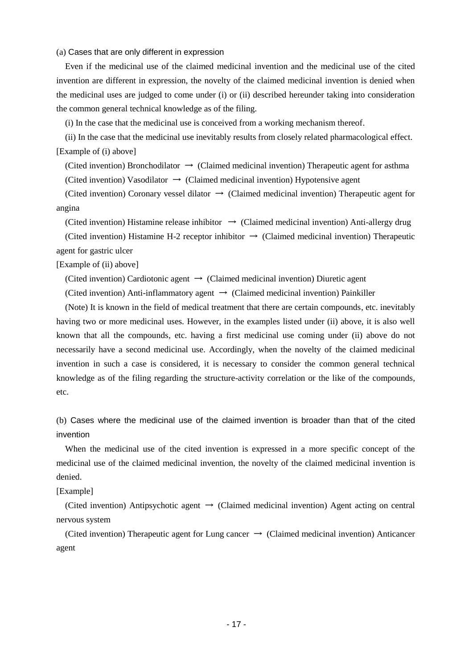(a) Cases that are only different in expression

Even if the medicinal use of the claimed medicinal invention and the medicinal use of the cited invention are different in expression, the novelty of the claimed medicinal invention is denied when the medicinal uses are judged to come under (i) or (ii) described hereunder taking into consideration the common general technical knowledge as of the filing.

(i) In the case that the medicinal use is conceived from a working mechanism thereof.

(ii) In the case that the medicinal use inevitably results from closely related pharmacological effect. [Example of (i) above]

(Cited invention) Bronchodilator  $\rightarrow$  (Claimed medicinal invention) Therapeutic agent for asthma

(Cited invention) Vasodilator  $\rightarrow$  (Claimed medicinal invention) Hypotensive agent

(Cited invention) Coronary vessel dilator  $\rightarrow$  (Claimed medicinal invention) Therapeutic agent for angina

(Cited invention) Histamine release inhibitor  $\rightarrow$  (Claimed medicinal invention) Anti-allergy drug

(Cited invention) Histamine H-2 receptor inhibitor  $\rightarrow$  (Claimed medicinal invention) Therapeutic agent for gastric ulcer

## [Example of (ii) above]

(Cited invention) Cardiotonic agent  $\rightarrow$  (Claimed medicinal invention) Diuretic agent

(Cited invention) Anti-inflammatory agent  $\rightarrow$  (Claimed medicinal invention) Painkiller

(Note) It is known in the field of medical treatment that there are certain compounds, etc. inevitably having two or more medicinal uses. However, in the examples listed under (ii) above, it is also well known that all the compounds, etc. having a first medicinal use coming under (ii) above do not necessarily have a second medicinal use. Accordingly, when the novelty of the claimed medicinal invention in such a case is considered, it is necessary to consider the common general technical knowledge as of the filing regarding the structure-activity correlation or the like of the compounds, etc.

(b) Cases where the medicinal use of the claimed invention is broader than that of the cited invention

When the medicinal use of the cited invention is expressed in a more specific concept of the medicinal use of the claimed medicinal invention, the novelty of the claimed medicinal invention is denied.

[Example]

(Cited invention) Antipsychotic agent  $\rightarrow$  (Claimed medicinal invention) Agent acting on central nervous system

(Cited invention) Therapeutic agent for Lung cancer  $\rightarrow$  (Claimed medicinal invention) Anticancer agent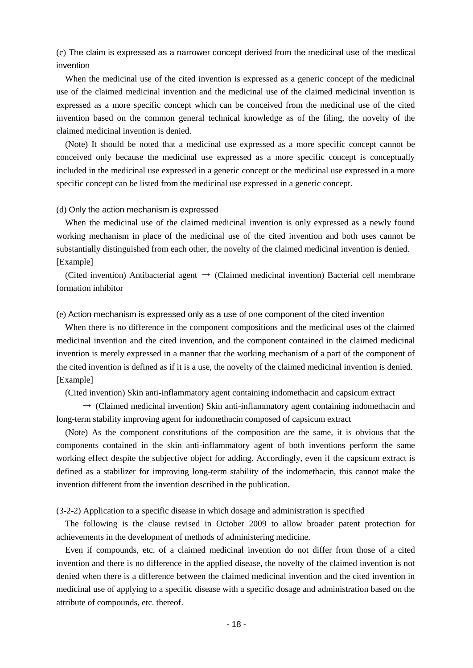(c) The claim is expressed as a narrower concept derived from the medicinal use of the medical invention

When the medicinal use of the cited invention is expressed as a generic concept of the medicinal use of the claimed medicinal invention and the medicinal use of the claimed medicinal invention is expressed as a more specific concept which can be conceived from the medicinal use of the cited invention based on the common general technical knowledge as of the filing, the novelty of the claimed medicinal invention is denied.

(Note) It should be noted that a medicinal use expressed as a more specific concept cannot be conceived only because the medicinal use expressed as a more specific concept is conceptually included in the medicinal use expressed in a generic concept or the medicinal use expressed in a more specific concept can be listed from the medicinal use expressed in a generic concept.

### (d) Only the action mechanism is expressed

When the medicinal use of the claimed medicinal invention is only expressed as a newly found working mechanism in place of the medicinal use of the cited invention and both uses cannot be substantially distinguished from each other, the novelty of the claimed medicinal invention is denied. [Example]

(Cited invention) Antibacterial agent  $\rightarrow$  (Claimed medicinal invention) Bacterial cell membrane formation inhibitor

## (e) Action mechanism is expressed only as a use of one component of the cited invention

When there is no difference in the component compositions and the medicinal uses of the claimed medicinal invention and the cited invention, and the component contained in the claimed medicinal invention is merely expressed in a manner that the working mechanism of a part of the component of the cited invention is defined as if it is a use, the novelty of the claimed medicinal invention is denied. [Example]

(Cited invention) Skin anti-inflammatory agent containing indomethacin and capsicum extract

 $\rightarrow$  (Claimed medicinal invention) Skin anti-inflammatory agent containing indomethacin and long-term stability improving agent for indomethacin composed of capsicum extract

(Note) As the component constitutions of the composition are the same, it is obvious that the components contained in the skin anti-inflammatory agent of both inventions perform the same working effect despite the subjective object for adding. Accordingly, even if the capsicum extract is defined as a stabilizer for improving long-term stability of the indomethacin, this cannot make the invention different from the invention described in the publication.

(3-2-2) Application to a specific disease in which dosage and administration is specified

The following is the clause revised in October 2009 to allow broader patent protection for achievements in the development of methods of administering medicine.

Even if compounds, etc. of a claimed medicinal invention do not differ from those of a cited invention and there is no difference in the applied disease, the novelty of the claimed invention is not denied when there is a difference between the claimed medicinal invention and the cited invention in medicinal use of applying to a specific disease with a specific dosage and administration based on the attribute of compounds, etc. thereof.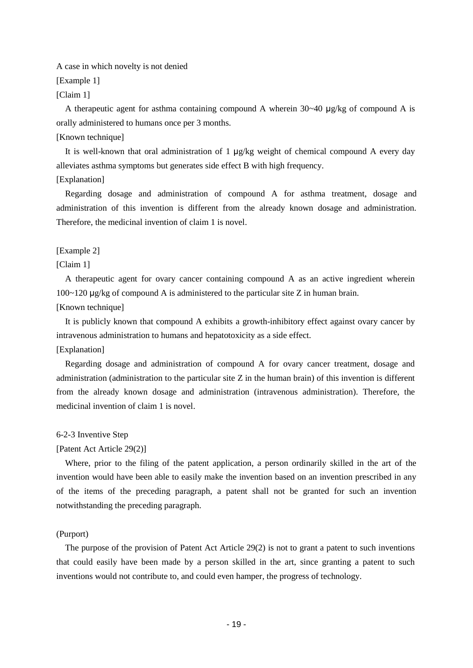A case in which novelty is not denied

[Example 1]

[Claim 1]

A therapeutic agent for asthma containing compound A wherein  $30~40 \mu$ g/kg of compound A is orally administered to humans once per 3 months.

## [Known technique]

It is well-known that oral administration of 1  $\mu$ g/kg weight of chemical compound A every day alleviates asthma symptoms but generates side effect B with high frequency.

## [Explanation]

Regarding dosage and administration of compound A for asthma treatment, dosage and administration of this invention is different from the already known dosage and administration. Therefore, the medicinal invention of claim 1 is novel.

## [Example 2]

## [Claim 1]

A therapeutic agent for ovary cancer containing compound A as an active ingredient wherein 100~120 μg/kg of compound A is administered to the particular site Z in human brain.

## [Known technique]

It is publicly known that compound A exhibits a growth-inhibitory effect against ovary cancer by intravenous administration to humans and hepatotoxicity as a side effect.

## [Explanation]

Regarding dosage and administration of compound A for ovary cancer treatment, dosage and administration (administration to the particular site Z in the human brain) of this invention is different from the already known dosage and administration (intravenous administration). Therefore, the medicinal invention of claim 1 is novel.

## 6-2-3 Inventive Step

## [Patent Act Article 29(2)]

Where, prior to the filing of the patent application, a person ordinarily skilled in the art of the invention would have been able to easily make the invention based on an invention prescribed in any of the items of the preceding paragraph, a patent shall not be granted for such an invention notwithstanding the preceding paragraph.

### (Purport)

The purpose of the provision of Patent Act Article 29(2) is not to grant a patent to such inventions that could easily have been made by a person skilled in the art, since granting a patent to such inventions would not contribute to, and could even hamper, the progress of technology.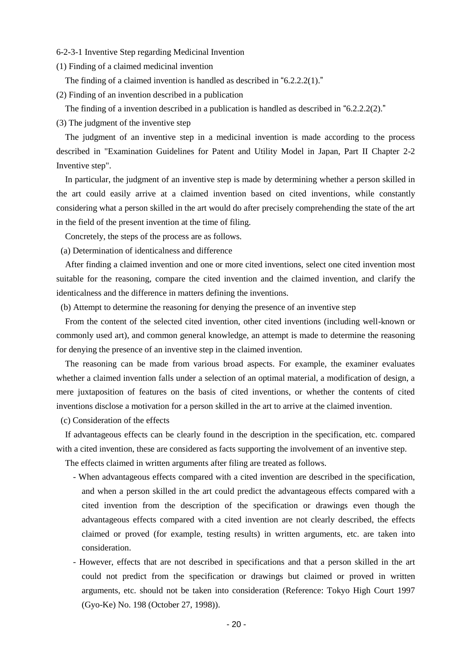- 6-2-3-1 Inventive Step regarding Medicinal Invention
- (1) Finding of a claimed medicinal invention

The finding of a claimed invention is handled as described in "6.2.2.2(1)."

(2) Finding of an invention described in a publication

The finding of a invention described in a publication is handled as described in "6.2.2.2(2)."

(3) The judgment of the inventive step

The judgment of an inventive step in a medicinal invention is made according to the process described in "Examination Guidelines for Patent and Utility Model in Japan, Part II Chapter 2-2 Inventive step".

In particular, the judgment of an inventive step is made by determining whether a person skilled in the art could easily arrive at a claimed invention based on cited inventions, while constantly considering what a person skilled in the art would do after precisely comprehending the state of the art in the field of the present invention at the time of filing.

Concretely, the steps of the process are as follows.

(a) Determination of identicalness and difference

After finding a claimed invention and one or more cited inventions, select one cited invention most suitable for the reasoning, compare the cited invention and the claimed invention, and clarify the identicalness and the difference in matters defining the inventions.

(b) Attempt to determine the reasoning for denying the presence of an inventive step

From the content of the selected cited invention, other cited inventions (including well-known or commonly used art), and common general knowledge, an attempt is made to determine the reasoning for denying the presence of an inventive step in the claimed invention.

The reasoning can be made from various broad aspects. For example, the examiner evaluates whether a claimed invention falls under a selection of an optimal material, a modification of design, a mere juxtaposition of features on the basis of cited inventions, or whether the contents of cited inventions disclose a motivation for a person skilled in the art to arrive at the claimed invention.

(c) Consideration of the effects

If advantageous effects can be clearly found in the description in the specification, etc. compared with a cited invention, these are considered as facts supporting the involvement of an inventive step.

The effects claimed in written arguments after filing are treated as follows.

- When advantageous effects compared with a cited invention are described in the specification, and when a person skilled in the art could predict the advantageous effects compared with a cited invention from the description of the specification or drawings even though the advantageous effects compared with a cited invention are not clearly described, the effects claimed or proved (for example, testing results) in written arguments, etc. are taken into consideration.
- However, effects that are not described in specifications and that a person skilled in the art could not predict from the specification or drawings but claimed or proved in written arguments, etc. should not be taken into consideration (Reference: Tokyo High Court 1997 (Gyo-Ke) No. 198 (October 27, 1998)).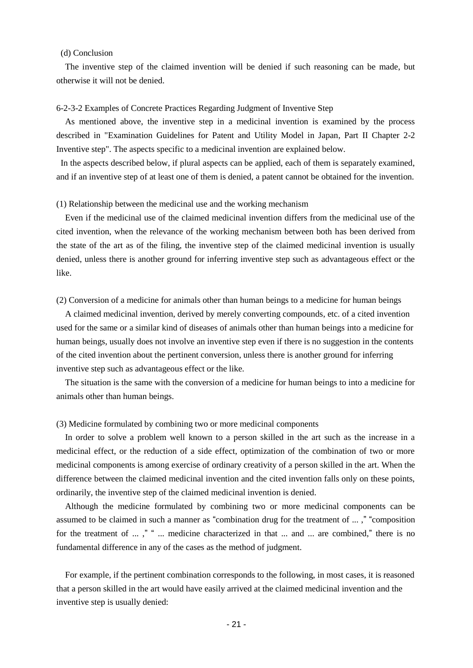### (d) Conclusion

The inventive step of the claimed invention will be denied if such reasoning can be made, but otherwise it will not be denied.

## 6-2-3-2 Examples of Concrete Practices Regarding Judgment of Inventive Step

As mentioned above, the inventive step in a medicinal invention is examined by the process described in "Examination Guidelines for Patent and Utility Model in Japan, Part II Chapter 2-2 Inventive step". The aspects specific to a medicinal invention are explained below.

In the aspects described below, if plural aspects can be applied, each of them is separately examined, and if an inventive step of at least one of them is denied, a patent cannot be obtained for the invention.

## (1) Relationship between the medicinal use and the working mechanism

Even if the medicinal use of the claimed medicinal invention differs from the medicinal use of the cited invention, when the relevance of the working mechanism between both has been derived from the state of the art as of the filing, the inventive step of the claimed medicinal invention is usually denied, unless there is another ground for inferring inventive step such as advantageous effect or the like.

## (2) Conversion of a medicine for animals other than human beings to a medicine for human beings

A claimed medicinal invention, derived by merely converting compounds, etc. of a cited invention used for the same or a similar kind of diseases of animals other than human beings into a medicine for human beings, usually does not involve an inventive step even if there is no suggestion in the contents of the cited invention about the pertinent conversion, unless there is another ground for inferring inventive step such as advantageous effect or the like.

The situation is the same with the conversion of a medicine for human beings to into a medicine for animals other than human beings.

## (3) Medicine formulated by combining two or more medicinal components

In order to solve a problem well known to a person skilled in the art such as the increase in a medicinal effect, or the reduction of a side effect, optimization of the combination of two or more medicinal components is among exercise of ordinary creativity of a person skilled in the art. When the difference between the claimed medicinal invention and the cited invention falls only on these points, ordinarily, the inventive step of the claimed medicinal invention is denied.

Although the medicine formulated by combining two or more medicinal components can be assumed to be claimed in such a manner as "combination drug for the treatment of ... ," "composition for the treatment of ...," " ... medicine characterized in that ... and ... are combined," there is no fundamental difference in any of the cases as the method of judgment.

For example, if the pertinent combination corresponds to the following, in most cases, it is reasoned that a person skilled in the art would have easily arrived at the claimed medicinal invention and the inventive step is usually denied: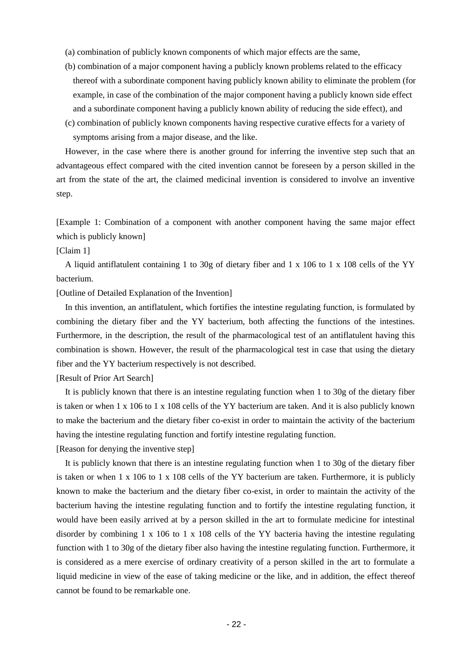(a) combination of publicly known components of which major effects are the same,

- (b) combination of a major component having a publicly known problems related to the efficacy thereof with a subordinate component having publicly known ability to eliminate the problem (for example, in case of the combination of the major component having a publicly known side effect and a subordinate component having a publicly known ability of reducing the side effect), and
- (c) combination of publicly known components having respective curative effects for a variety of symptoms arising from a major disease, and the like.

However, in the case where there is another ground for inferring the inventive step such that an advantageous effect compared with the cited invention cannot be foreseen by a person skilled in the art from the state of the art, the claimed medicinal invention is considered to involve an inventive step.

[Example 1: Combination of a component with another component having the same major effect which is publicly known]

[Claim 1]

A liquid antiflatulent containing 1 to 30g of dietary fiber and 1 x 106 to 1 x 108 cells of the YY bacterium.

[Outline of Detailed Explanation of the Invention]

In this invention, an antiflatulent, which fortifies the intestine regulating function, is formulated by combining the dietary fiber and the YY bacterium, both affecting the functions of the intestines. Furthermore, in the description, the result of the pharmacological test of an antiflatulent having this combination is shown. However, the result of the pharmacological test in case that using the dietary fiber and the YY bacterium respectively is not described.

[Result of Prior Art Search]

It is publicly known that there is an intestine regulating function when 1 to 30g of the dietary fiber is taken or when 1 x 106 to 1 x 108 cells of the YY bacterium are taken. And it is also publicly known to make the bacterium and the dietary fiber co-exist in order to maintain the activity of the bacterium having the intestine regulating function and fortify intestine regulating function.

[Reason for denying the inventive step]

It is publicly known that there is an intestine regulating function when 1 to 30g of the dietary fiber is taken or when 1 x 106 to 1 x 108 cells of the YY bacterium are taken. Furthermore, it is publicly known to make the bacterium and the dietary fiber co-exist, in order to maintain the activity of the bacterium having the intestine regulating function and to fortify the intestine regulating function, it would have been easily arrived at by a person skilled in the art to formulate medicine for intestinal disorder by combining 1 x 106 to 1 x 108 cells of the YY bacteria having the intestine regulating function with 1 to 30g of the dietary fiber also having the intestine regulating function. Furthermore, it is considered as a mere exercise of ordinary creativity of a person skilled in the art to formulate a liquid medicine in view of the ease of taking medicine or the like, and in addition, the effect thereof cannot be found to be remarkable one.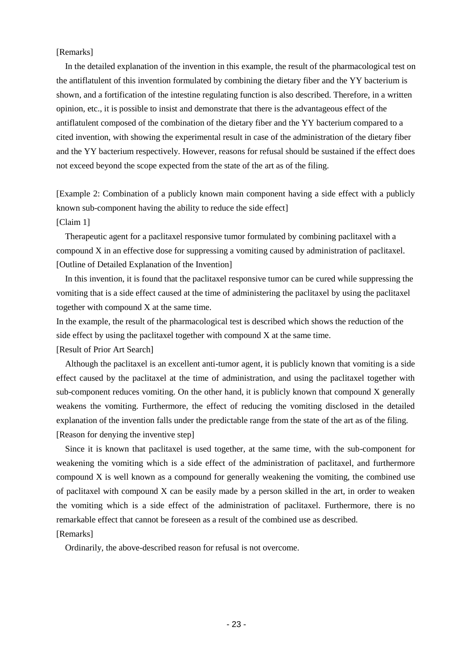[Remarks]

In the detailed explanation of the invention in this example, the result of the pharmacological test on the antiflatulent of this invention formulated by combining the dietary fiber and the YY bacterium is shown, and a fortification of the intestine regulating function is also described. Therefore, in a written opinion, etc., it is possible to insist and demonstrate that there is the advantageous effect of the antiflatulent composed of the combination of the dietary fiber and the YY bacterium compared to a cited invention, with showing the experimental result in case of the administration of the dietary fiber and the YY bacterium respectively. However, reasons for refusal should be sustained if the effect does not exceed beyond the scope expected from the state of the art as of the filing.

[Example 2: Combination of a publicly known main component having a side effect with a publicly known sub-component having the ability to reduce the side effect] [Claim 1]

Therapeutic agent for a paclitaxel responsive tumor formulated by combining paclitaxel with a compound X in an effective dose for suppressing a vomiting caused by administration of paclitaxel. [Outline of Detailed Explanation of the Invention]

In this invention, it is found that the paclitaxel responsive tumor can be cured while suppressing the vomiting that is a side effect caused at the time of administering the paclitaxel by using the paclitaxel together with compound X at the same time.

In the example, the result of the pharmacological test is described which shows the reduction of the side effect by using the paclitaxel together with compound X at the same time.

[Result of Prior Art Search]

Although the paclitaxel is an excellent anti-tumor agent, it is publicly known that vomiting is a side effect caused by the paclitaxel at the time of administration, and using the paclitaxel together with sub-component reduces vomiting. On the other hand, it is publicly known that compound X generally weakens the vomiting. Furthermore, the effect of reducing the vomiting disclosed in the detailed explanation of the invention falls under the predictable range from the state of the art as of the filing. [Reason for denying the inventive step]

Since it is known that paclitaxel is used together, at the same time, with the sub-component for weakening the vomiting which is a side effect of the administration of paclitaxel, and furthermore compound X is well known as a compound for generally weakening the vomiting, the combined use of paclitaxel with compound X can be easily made by a person skilled in the art, in order to weaken the vomiting which is a side effect of the administration of paclitaxel. Furthermore, there is no remarkable effect that cannot be foreseen as a result of the combined use as described.

[Remarks]

Ordinarily, the above-described reason for refusal is not overcome.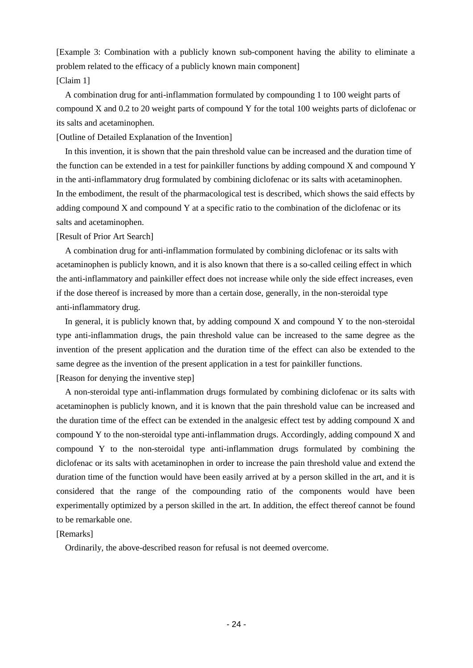[Example 3: Combination with a publicly known sub-component having the ability to eliminate a problem related to the efficacy of a publicly known main component] [Claim 1]

A combination drug for anti-inflammation formulated by compounding 1 to 100 weight parts of compound X and 0.2 to 20 weight parts of compound Y for the total 100 weights parts of diclofenac or its salts and acetaminophen.

[Outline of Detailed Explanation of the Invention]

In this invention, it is shown that the pain threshold value can be increased and the duration time of the function can be extended in a test for painkiller functions by adding compound X and compound Y in the anti-inflammatory drug formulated by combining diclofenac or its salts with acetaminophen. In the embodiment, the result of the pharmacological test is described, which shows the said effects by adding compound X and compound Y at a specific ratio to the combination of the diclofenac or its salts and acetaminophen.

[Result of Prior Art Search]

A combination drug for anti-inflammation formulated by combining diclofenac or its salts with acetaminophen is publicly known, and it is also known that there is a so-called ceiling effect in which the anti-inflammatory and painkiller effect does not increase while only the side effect increases, even if the dose thereof is increased by more than a certain dose, generally, in the non-steroidal type anti-inflammatory drug.

In general, it is publicly known that, by adding compound  $X$  and compound  $Y$  to the non-steroidal type anti-inflammation drugs, the pain threshold value can be increased to the same degree as the invention of the present application and the duration time of the effect can also be extended to the same degree as the invention of the present application in a test for painkiller functions.

[Reason for denying the inventive step]

A non-steroidal type anti-inflammation drugs formulated by combining diclofenac or its salts with acetaminophen is publicly known, and it is known that the pain threshold value can be increased and the duration time of the effect can be extended in the analgesic effect test by adding compound X and compound Y to the non-steroidal type anti-inflammation drugs. Accordingly, adding compound X and compound Y to the non-steroidal type anti-inflammation drugs formulated by combining the diclofenac or its salts with acetaminophen in order to increase the pain threshold value and extend the duration time of the function would have been easily arrived at by a person skilled in the art, and it is considered that the range of the compounding ratio of the components would have been experimentally optimized by a person skilled in the art. In addition, the effect thereof cannot be found to be remarkable one.

## [Remarks]

Ordinarily, the above-described reason for refusal is not deemed overcome.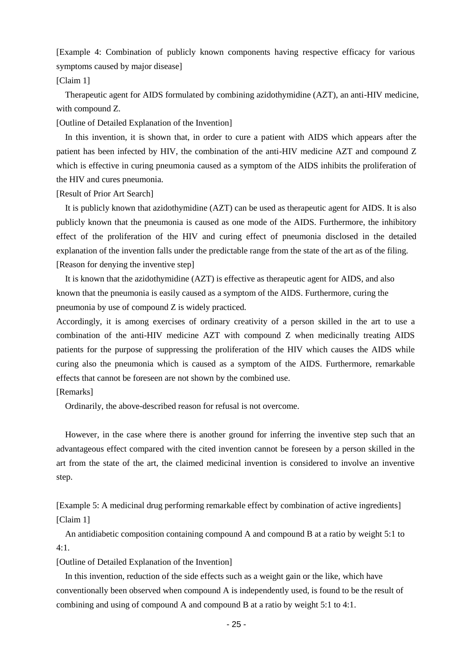[Example 4: Combination of publicly known components having respective efficacy for various symptoms caused by major disease]

## [Claim 1]

Therapeutic agent for AIDS formulated by combining azidothymidine (AZT), an anti-HIV medicine, with compound Z.

[Outline of Detailed Explanation of the Invention]

In this invention, it is shown that, in order to cure a patient with AIDS which appears after the patient has been infected by HIV, the combination of the anti-HIV medicine AZT and compound Z which is effective in curing pneumonia caused as a symptom of the AIDS inhibits the proliferation of the HIV and cures pneumonia.

[Result of Prior Art Search]

It is publicly known that azidothymidine (AZT) can be used as therapeutic agent for AIDS. It is also publicly known that the pneumonia is caused as one mode of the AIDS. Furthermore, the inhibitory effect of the proliferation of the HIV and curing effect of pneumonia disclosed in the detailed explanation of the invention falls under the predictable range from the state of the art as of the filing. [Reason for denying the inventive step]

It is known that the azidothymidine (AZT) is effective as therapeutic agent for AIDS, and also known that the pneumonia is easily caused as a symptom of the AIDS. Furthermore, curing the pneumonia by use of compound Z is widely practiced.

Accordingly, it is among exercises of ordinary creativity of a person skilled in the art to use a combination of the anti-HIV medicine AZT with compound Z when medicinally treating AIDS patients for the purpose of suppressing the proliferation of the HIV which causes the AIDS while curing also the pneumonia which is caused as a symptom of the AIDS. Furthermore, remarkable effects that cannot be foreseen are not shown by the combined use.

## [Remarks]

Ordinarily, the above-described reason for refusal is not overcome.

However, in the case where there is another ground for inferring the inventive step such that an advantageous effect compared with the cited invention cannot be foreseen by a person skilled in the art from the state of the art, the claimed medicinal invention is considered to involve an inventive step.

[Example 5: A medicinal drug performing remarkable effect by combination of active ingredients] [Claim 1]

An antidiabetic composition containing compound A and compound B at a ratio by weight 5:1 to 4:1.

[Outline of Detailed Explanation of the Invention]

In this invention, reduction of the side effects such as a weight gain or the like, which have conventionally been observed when compound A is independently used, is found to be the result of combining and using of compound A and compound B at a ratio by weight 5:1 to 4:1.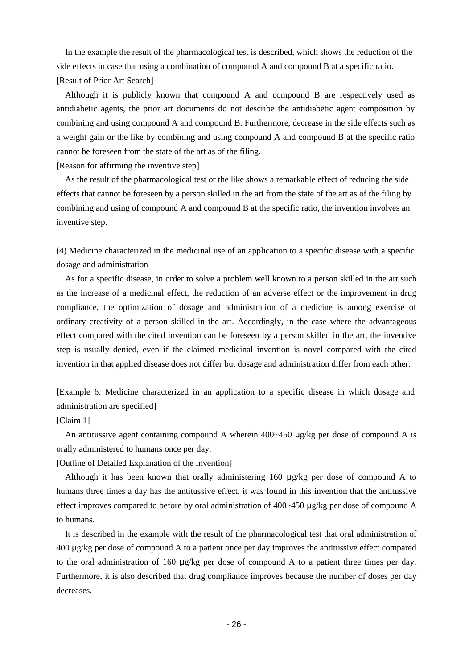In the example the result of the pharmacological test is described, which shows the reduction of the side effects in case that using a combination of compound A and compound B at a specific ratio. [Result of Prior Art Search]

Although it is publicly known that compound A and compound B are respectively used as antidiabetic agents, the prior art documents do not describe the antidiabetic agent composition by combining and using compound A and compound B. Furthermore, decrease in the side effects such as a weight gain or the like by combining and using compound A and compound B at the specific ratio cannot be foreseen from the state of the art as of the filing.

[Reason for affirming the inventive step]

As the result of the pharmacological test or the like shows a remarkable effect of reducing the side effects that cannot be foreseen by a person skilled in the art from the state of the art as of the filing by combining and using of compound A and compound B at the specific ratio, the invention involves an inventive step.

(4) Medicine characterized in the medicinal use of an application to a specific disease with a specific dosage and administration

As for a specific disease, in order to solve a problem well known to a person skilled in the art such as the increase of a medicinal effect, the reduction of an adverse effect or the improvement in drug compliance, the optimization of dosage and administration of a medicine is among exercise of ordinary creativity of a person skilled in the art. Accordingly, in the case where the advantageous effect compared with the cited invention can be foreseen by a person skilled in the art, the inventive step is usually denied, even if the claimed medicinal invention is novel compared with the cited invention in that applied disease does not differ but dosage and administration differ from each other.

[Example 6: Medicine characterized in an application to a specific disease in which dosage and administration are specified]

## [Claim 1]

An antitussive agent containing compound A wherein 400~450 μg/kg per dose of compound A is orally administered to humans once per day.

[Outline of Detailed Explanation of the Invention]

Although it has been known that orally administering 160 μg/kg per dose of compound A to humans three times a day has the antitussive effect, it was found in this invention that the antitussive effect improves compared to before by oral administration of 400~450 μg/kg per dose of compound A to humans.

It is described in the example with the result of the pharmacological test that oral administration of 400 μg/kg per dose of compound A to a patient once per day improves the antitussive effect compared to the oral administration of 160 μg/kg per dose of compound A to a patient three times per day. Furthermore, it is also described that drug compliance improves because the number of doses per day decreases.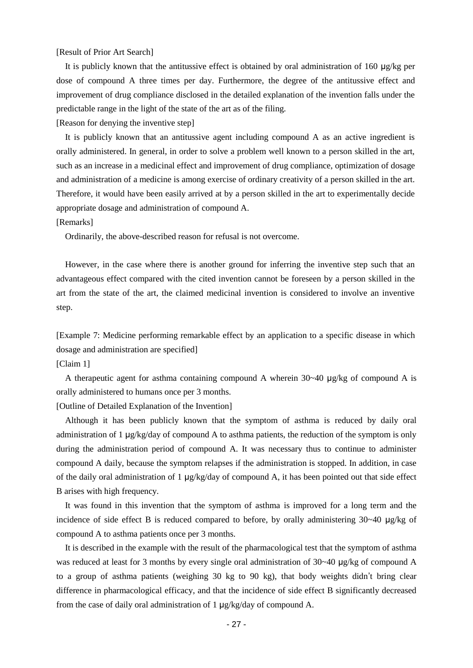## [Result of Prior Art Search]

It is publicly known that the antitussive effect is obtained by oral administration of 160 μg/kg per dose of compound A three times per day. Furthermore, the degree of the antitussive effect and improvement of drug compliance disclosed in the detailed explanation of the invention falls under the predictable range in the light of the state of the art as of the filing.

[Reason for denying the inventive step]

It is publicly known that an antitussive agent including compound A as an active ingredient is orally administered. In general, in order to solve a problem well known to a person skilled in the art, such as an increase in a medicinal effect and improvement of drug compliance, optimization of dosage and administration of a medicine is among exercise of ordinary creativity of a person skilled in the art. Therefore, it would have been easily arrived at by a person skilled in the art to experimentally decide appropriate dosage and administration of compound A.

[Remarks]

Ordinarily, the above-described reason for refusal is not overcome.

However, in the case where there is another ground for inferring the inventive step such that an advantageous effect compared with the cited invention cannot be foreseen by a person skilled in the art from the state of the art, the claimed medicinal invention is considered to involve an inventive step.

[Example 7: Medicine performing remarkable effect by an application to a specific disease in which dosage and administration are specified]

[Claim 1]

A therapeutic agent for asthma containing compound A wherein 30~40 μg/kg of compound A is orally administered to humans once per 3 months.

[Outline of Detailed Explanation of the Invention]

Although it has been publicly known that the symptom of asthma is reduced by daily oral administration of 1 μg/kg/day of compound A to asthma patients, the reduction of the symptom is only during the administration period of compound A. It was necessary thus to continue to administer compound A daily, because the symptom relapses if the administration is stopped. In addition, in case of the daily oral administration of 1 μg/kg/day of compound A, it has been pointed out that side effect B arises with high frequency.

It was found in this invention that the symptom of asthma is improved for a long term and the incidence of side effect B is reduced compared to before, by orally administering 30~40 μg/kg of compound A to asthma patients once per 3 months.

It is described in the example with the result of the pharmacological test that the symptom of asthma was reduced at least for 3 months by every single oral administration of 30~40 μg/kg of compound A to a group of asthma patients (weighing 30 kg to 90 kg), that body weights didn't bring clear difference in pharmacological efficacy, and that the incidence of side effect B significantly decreased from the case of daily oral administration of 1 μg/kg/day of compound A.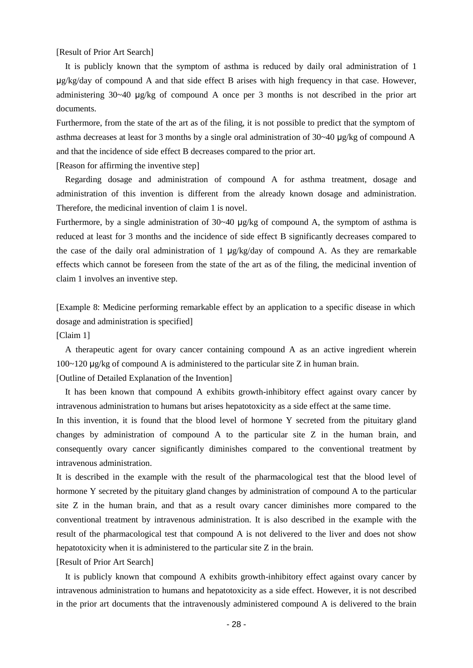[Result of Prior Art Search]

It is publicly known that the symptom of asthma is reduced by daily oral administration of 1 μg/kg/day of compound A and that side effect B arises with high frequency in that case. However, administering  $30~-40$  μg/kg of compound A once per 3 months is not described in the prior art documents.

Furthermore, from the state of the art as of the filing, it is not possible to predict that the symptom of asthma decreases at least for 3 months by a single oral administration of 30~40 μg/kg of compound A and that the incidence of side effect B decreases compared to the prior art.

[Reason for affirming the inventive step]

Regarding dosage and administration of compound A for asthma treatment, dosage and administration of this invention is different from the already known dosage and administration. Therefore, the medicinal invention of claim 1 is novel.

Furthermore, by a single administration of 30~40 μg/kg of compound A, the symptom of asthma is reduced at least for 3 months and the incidence of side effect B significantly decreases compared to the case of the daily oral administration of 1  $\mu$ g/kg/day of compound A. As they are remarkable effects which cannot be foreseen from the state of the art as of the filing, the medicinal invention of claim 1 involves an inventive step.

[Example 8: Medicine performing remarkable effect by an application to a specific disease in which dosage and administration is specified]

[Claim 1]

A therapeutic agent for ovary cancer containing compound A as an active ingredient wherein 100~120 μg/kg of compound A is administered to the particular site Z in human brain.

[Outline of Detailed Explanation of the Invention]

It has been known that compound A exhibits growth-inhibitory effect against ovary cancer by intravenous administration to humans but arises hepatotoxicity as a side effect at the same time.

In this invention, it is found that the blood level of hormone Y secreted from the pituitary gland changes by administration of compound A to the particular site Z in the human brain, and consequently ovary cancer significantly diminishes compared to the conventional treatment by intravenous administration.

It is described in the example with the result of the pharmacological test that the blood level of hormone Y secreted by the pituitary gland changes by administration of compound A to the particular site Z in the human brain, and that as a result ovary cancer diminishes more compared to the conventional treatment by intravenous administration. It is also described in the example with the result of the pharmacological test that compound A is not delivered to the liver and does not show hepatotoxicity when it is administered to the particular site Z in the brain.

[Result of Prior Art Search]

It is publicly known that compound A exhibits growth-inhibitory effect against ovary cancer by intravenous administration to humans and hepatotoxicity as a side effect. However, it is not described in the prior art documents that the intravenously administered compound A is delivered to the brain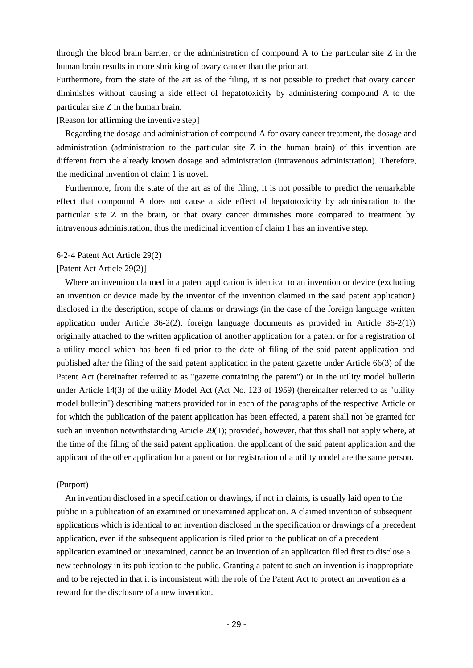through the blood brain barrier, or the administration of compound A to the particular site Z in the human brain results in more shrinking of ovary cancer than the prior art.

Furthermore, from the state of the art as of the filing, it is not possible to predict that ovary cancer diminishes without causing a side effect of hepatotoxicity by administering compound A to the particular site Z in the human brain.

[Reason for affirming the inventive step]

Regarding the dosage and administration of compound A for ovary cancer treatment, the dosage and administration (administration to the particular site Z in the human brain) of this invention are different from the already known dosage and administration (intravenous administration). Therefore, the medicinal invention of claim 1 is novel.

Furthermore, from the state of the art as of the filing, it is not possible to predict the remarkable effect that compound A does not cause a side effect of hepatotoxicity by administration to the particular site Z in the brain, or that ovary cancer diminishes more compared to treatment by intravenous administration, thus the medicinal invention of claim 1 has an inventive step.

## 6-2-4 Patent Act Article 29(2)

## [Patent Act Article 29(2)]

Where an invention claimed in a patent application is identical to an invention or device (excluding an invention or device made by the inventor of the invention claimed in the said patent application) disclosed in the description, scope of claims or drawings (in the case of the foreign language written application under Article 36-2(2), foreign language documents as provided in Article 36-2(1)) originally attached to the written application of another application for a patent or for a registration of a utility model which has been filed prior to the date of filing of the said patent application and published after the filing of the said patent application in the patent gazette under Article 66(3) of the Patent Act (hereinafter referred to as "gazette containing the patent") or in the utility model bulletin under Article 14(3) of the utility Model Act (Act No. 123 of 1959) (hereinafter referred to as "utility model bulletin") describing matters provided for in each of the paragraphs of the respective Article or for which the publication of the patent application has been effected, a patent shall not be granted for such an invention notwithstanding Article 29(1); provided, however, that this shall not apply where, at the time of the filing of the said patent application, the applicant of the said patent application and the applicant of the other application for a patent or for registration of a utility model are the same person.

## (Purport)

An invention disclosed in a specification or drawings, if not in claims, is usually laid open to the public in a publication of an examined or unexamined application. A claimed invention of subsequent applications which is identical to an invention disclosed in the specification or drawings of a precedent application, even if the subsequent application is filed prior to the publication of a precedent application examined or unexamined, cannot be an invention of an application filed first to disclose a new technology in its publication to the public. Granting a patent to such an invention is inappropriate and to be rejected in that it is inconsistent with the role of the Patent Act to protect an invention as a reward for the disclosure of a new invention.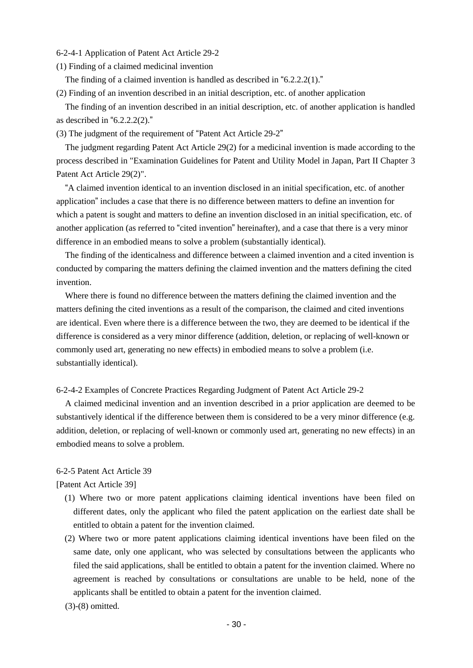- 6-2-4-1 Application of Patent Act Article 29-2
- (1) Finding of a claimed medicinal invention

The finding of a claimed invention is handled as described in "6.2.2.2(1)."

(2) Finding of an invention described in an initial description, etc. of another application

The finding of an invention described in an initial description, etc. of another application is handled as described in " $6.2.2.2(2)$ ."

(3) The judgment of the requirement of "Patent Act Article 29-2"

The judgment regarding Patent Act Article 29(2) for a medicinal invention is made according to the process described in "Examination Guidelines for Patent and Utility Model in Japan, Part II Chapter 3 Patent Act Article 29(2)".

"A claimed invention identical to an invention disclosed in an initial specification, etc. of another application" includes a case that there is no difference between matters to define an invention for which a patent is sought and matters to define an invention disclosed in an initial specification, etc. of another application (as referred to "cited invention" hereinafter), and a case that there is a very minor difference in an embodied means to solve a problem (substantially identical).

The finding of the identicalness and difference between a claimed invention and a cited invention is conducted by comparing the matters defining the claimed invention and the matters defining the cited invention.

Where there is found no difference between the matters defining the claimed invention and the matters defining the cited inventions as a result of the comparison, the claimed and cited inventions are identical. Even where there is a difference between the two, they are deemed to be identical if the difference is considered as a very minor difference (addition, deletion, or replacing of well-known or commonly used art, generating no new effects) in embodied means to solve a problem (i.e. substantially identical).

6-2-4-2 Examples of Concrete Practices Regarding Judgment of Patent Act Article 29-2

A claimed medicinal invention and an invention described in a prior application are deemed to be substantively identical if the difference between them is considered to be a very minor difference (e.g. addition, deletion, or replacing of well-known or commonly used art, generating no new effects) in an embodied means to solve a problem.

## 6-2-5 Patent Act Article 39

[Patent Act Article 39]

- (1) Where two or more patent applications claiming identical inventions have been filed on different dates, only the applicant who filed the patent application on the earliest date shall be entitled to obtain a patent for the invention claimed.
- (2) Where two or more patent applications claiming identical inventions have been filed on the same date, only one applicant, who was selected by consultations between the applicants who filed the said applications, shall be entitled to obtain a patent for the invention claimed. Where no agreement is reached by consultations or consultations are unable to be held, none of the applicants shall be entitled to obtain a patent for the invention claimed.
- (3)-(8) omitted.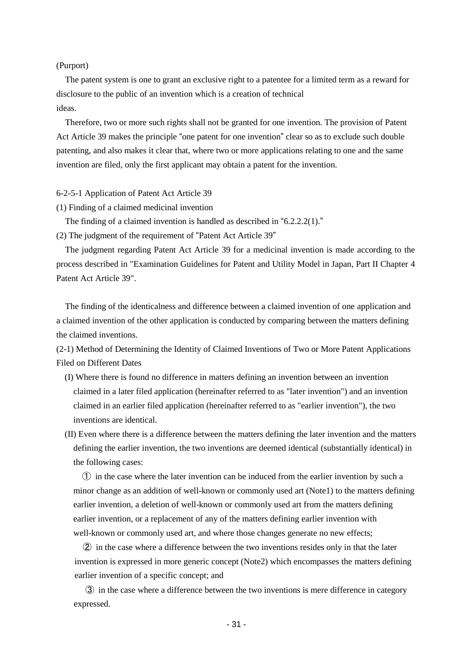## (Purport)

The patent system is one to grant an exclusive right to a patentee for a limited term as a reward for disclosure to the public of an invention which is a creation of technical ideas.

Therefore, two or more such rights shall not be granted for one invention. The provision of Patent Act Article 39 makes the principle "one patent for one invention" clear so as to exclude such double patenting, and also makes it clear that, where two or more applications relating to one and the same invention are filed, only the first applicant may obtain a patent for the invention.

#### 6-2-5-1 Application of Patent Act Article 39

(1) Finding of a claimed medicinal invention

The finding of a claimed invention is handled as described in "6.2.2.2(1)."

(2) The judgment of the requirement of "Patent Act Article 39"

The judgment regarding Patent Act Article 39 for a medicinal invention is made according to the process described in "Examination Guidelines for Patent and Utility Model in Japan, Part II Chapter 4 Patent Act Article 39".

The finding of the identicalness and difference between a claimed invention of one application and a claimed invention of the other application is conducted by comparing between the matters defining the claimed inventions.

(2-1) Method of Determining the Identity of Claimed Inventions of Two or More Patent Applications Filed on Different Dates

- (I) Where there is found no difference in matters defining an invention between an invention claimed in a later filed application (hereinafter referred to as "later invention") and an invention claimed in an earlier filed application (hereinafter referred to as "earlier invention"), the two inventions are identical.
- (II) Even where there is a difference between the matters defining the later invention and the matters defining the earlier invention, the two inventions are deemed identical (substantially identical) in the following cases:

 ① in the case where the later invention can be induced from the earlier invention by such a minor change as an addition of well-known or commonly used art (Note1) to the matters defining earlier invention, a deletion of well-known or commonly used art from the matters defining earlier invention, or a replacement of any of the matters defining earlier invention with well-known or commonly used art, and where those changes generate no new effects;

 ② in the case where a difference between the two inventions resides only in that the later invention is expressed in more generic concept (Note2) which encompasses the matters defining earlier invention of a specific concept; and

 ③ in the case where a difference between the two inventions is mere difference in category expressed.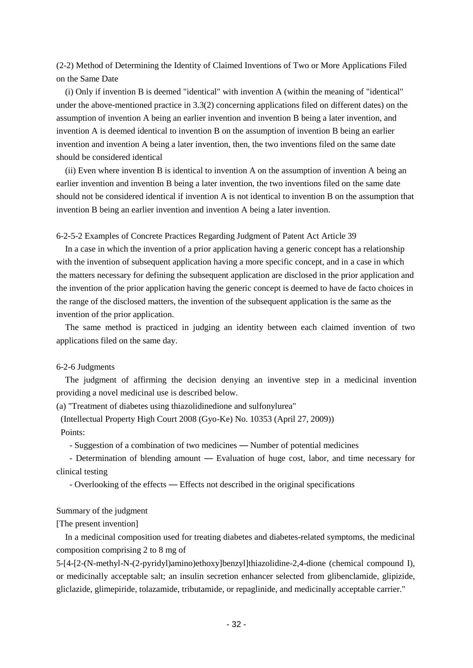(2-2) Method of Determining the Identity of Claimed Inventions of Two or More Applications Filed on the Same Date

(i) Only if invention B is deemed "identical" with invention A (within the meaning of "identical" under the above-mentioned practice in 3.3(2) concerning applications filed on different dates) on the assumption of invention A being an earlier invention and invention B being a later invention, and invention A is deemed identical to invention B on the assumption of invention B being an earlier invention and invention A being a later invention, then, the two inventions filed on the same date should be considered identical

(ii) Even where invention B is identical to invention A on the assumption of invention A being an earlier invention and invention B being a later invention, the two inventions filed on the same date should not be considered identical if invention A is not identical to invention B on the assumption that invention B being an earlier invention and invention A being a later invention.

6-2-5-2 Examples of Concrete Practices Regarding Judgment of Patent Act Article 39

In a case in which the invention of a prior application having a generic concept has a relationship with the invention of subsequent application having a more specific concept, and in a case in which the matters necessary for defining the subsequent application are disclosed in the prior application and the invention of the prior application having the generic concept is deemed to have de facto choices in the range of the disclosed matters, the invention of the subsequent application is the same as the invention of the prior application.

The same method is practiced in judging an identity between each claimed invention of two applications filed on the same day.

## 6-2-6 Judgments

The judgment of affirming the decision denying an inventive step in a medicinal invention providing a novel medicinal use is described below.

(a) "Treatment of diabetes using thiazolidinedione and sulfonylurea"

(Intellectual Property High Court 2008 (Gyo-Ke) No. 10353 (April 27, 2009))

Points:

- Suggestion of a combination of two medicines — Number of potential medicines

 - Determination of blending amount — Evaluation of huge cost, labor, and time necessary for clinical testing

- Overlooking of the effects — Effects not described in the original specifications

## Summary of the judgment

[The present invention]

In a medicinal composition used for treating diabetes and diabetes-related symptoms, the medicinal composition comprising 2 to 8 mg of

5-[4-[2-(N-methyl-N-(2-pyridyl)amino)ethoxy]benzyl]thiazolidine-2,4-dione (chemical compound I), or medicinally acceptable salt; an insulin secretion enhancer selected from glibenclamide, glipizide, gliclazide, glimepiride, tolazamide, tributamide, or repaglinide, and medicinally acceptable carrier."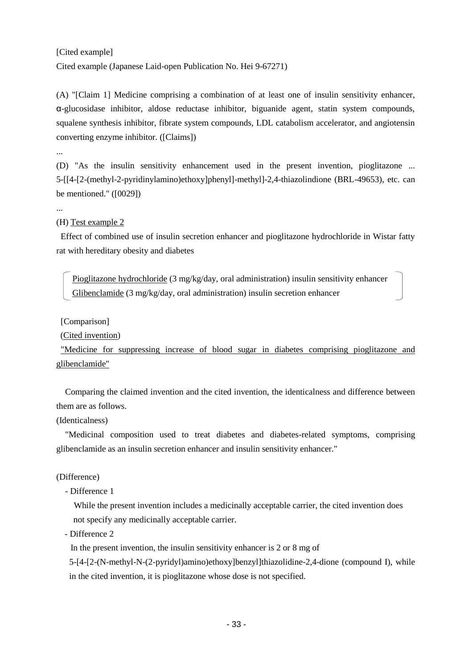## [Cited example] Cited example (Japanese Laid-open Publication No. Hei 9-67271)

(A) "[Claim 1] Medicine comprising a combination of at least one of insulin sensitivity enhancer, α-glucosidase inhibitor, aldose reductase inhibitor, biguanide agent, statin system compounds, squalene synthesis inhibitor, fibrate system compounds, LDL catabolism accelerator, and angiotensin converting enzyme inhibitor. ([Claims])

...

(D) "As the insulin sensitivity enhancement used in the present invention, pioglitazone ... 5-[[4-[2-(methyl-2-pyridinylamino)ethoxy]phenyl]-methyl]-2,4-thiazolindione (BRL-49653), etc. can be mentioned." ([0029])

...

## (H) Test example 2

Effect of combined use of insulin secretion enhancer and pioglitazone hydrochloride in Wistar fatty rat with hereditary obesity and diabetes

 Pioglitazone hydrochloride (3 mg/kg/day, oral administration) insulin sensitivity enhancer Glibenclamide (3 mg/kg/day, oral administration) insulin secretion enhancer

## [Comparison]

(Cited invention)

"Medicine for suppressing increase of blood sugar in diabetes comprising pioglitazone and glibenclamide"

Comparing the claimed invention and the cited invention, the identicalness and difference between them are as follows.

## (Identicalness)

"Medicinal composition used to treat diabetes and diabetes-related symptoms, comprising glibenclamide as an insulin secretion enhancer and insulin sensitivity enhancer."

## (Difference)

- Difference 1

 While the present invention includes a medicinally acceptable carrier, the cited invention does not specify any medicinally acceptable carrier.

- Difference 2

In the present invention, the insulin sensitivity enhancer is 2 or 8 mg of

5-[4-[2-(N-methyl-N-(2-pyridyl)amino)ethoxy]benzyl]thiazolidine-2,4-dione (compound I), while in the cited invention, it is pioglitazone whose dose is not specified.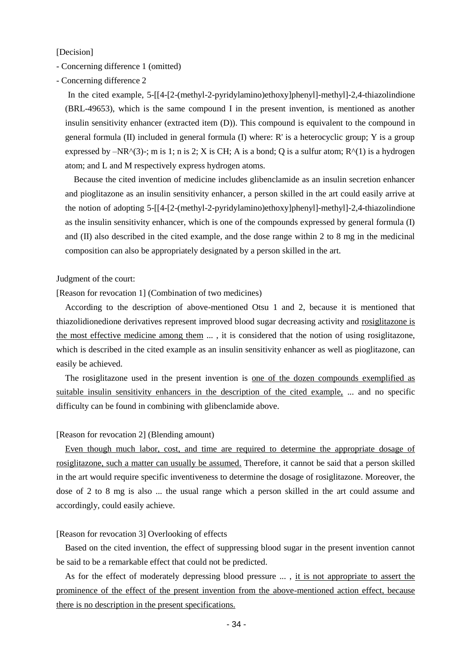[Decision]

- Concerning difference 1 (omitted)
- Concerning difference 2

 In the cited example, 5-[[4-[2-(methyl-2-pyridylamino)ethoxy]phenyl]-methyl]-2,4-thiazolindione (BRL-49653), which is the same compound I in the present invention, is mentioned as another insulin sensitivity enhancer (extracted item (D)). This compound is equivalent to the compound in general formula (II) included in general formula (I) where: R' is a heterocyclic group; Y is a group expressed by  $-NR^{(3)}$ ; m is 1; n is 2; X is CH; A is a bond; Q is a sulfur atom;  $R^{(1)}$  is a hydrogen atom; and L and M respectively express hydrogen atoms.

 Because the cited invention of medicine includes glibenclamide as an insulin secretion enhancer and pioglitazone as an insulin sensitivity enhancer, a person skilled in the art could easily arrive at the notion of adopting 5-[[4-[2-(methyl-2-pyridylamino)ethoxy]phenyl]-methyl]-2,4-thiazolindione as the insulin sensitivity enhancer, which is one of the compounds expressed by general formula (I) and (II) also described in the cited example, and the dose range within 2 to 8 mg in the medicinal composition can also be appropriately designated by a person skilled in the art.

Judgment of the court:

[Reason for revocation 1] (Combination of two medicines)

According to the description of above-mentioned Otsu 1 and 2, because it is mentioned that thiazolidionedione derivatives represent improved blood sugar decreasing activity and rosiglitazone is the most effective medicine among them ... , it is considered that the notion of using rosiglitazone, which is described in the cited example as an insulin sensitivity enhancer as well as pioglitazone, can easily be achieved.

The rosiglitazone used in the present invention is one of the dozen compounds exemplified as suitable insulin sensitivity enhancers in the description of the cited example, ... and no specific difficulty can be found in combining with glibenclamide above.

## [Reason for revocation 2] (Blending amount)

Even though much labor, cost, and time are required to determine the appropriate dosage of rosiglitazone, such a matter can usually be assumed. Therefore, it cannot be said that a person skilled in the art would require specific inventiveness to determine the dosage of rosiglitazone. Moreover, the dose of 2 to 8 mg is also ... the usual range which a person skilled in the art could assume and accordingly, could easily achieve.

## [Reason for revocation 3] Overlooking of effects

Based on the cited invention, the effect of suppressing blood sugar in the present invention cannot be said to be a remarkable effect that could not be predicted.

As for the effect of moderately depressing blood pressure ..., it is not appropriate to assert the prominence of the effect of the present invention from the above-mentioned action effect, because there is no description in the present specifications.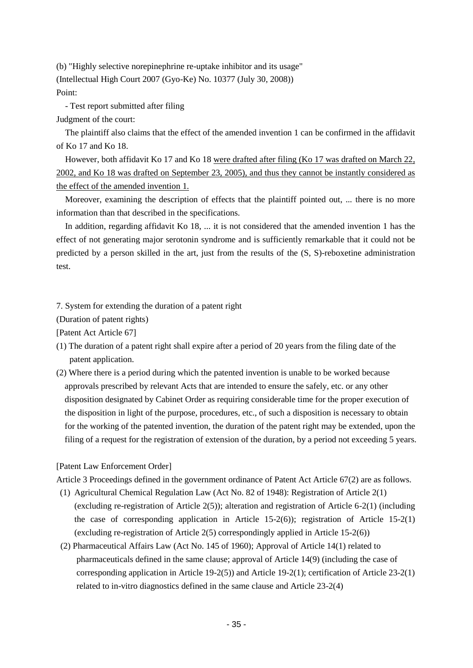(b) "Highly selective norepinephrine re-uptake inhibitor and its usage" (Intellectual High Court 2007 (Gyo-Ke) No. 10377 (July 30, 2008)) Point:

- Test report submitted after filing

Judgment of the court:

The plaintiff also claims that the effect of the amended invention 1 can be confirmed in the affidavit of Ko 17 and Ko 18.

However, both affidavit Ko 17 and Ko 18 were drafted after filing (Ko 17 was drafted on March 22, 2002, and Ko 18 was drafted on September 23, 2005), and thus they cannot be instantly considered as the effect of the amended invention 1.

Moreover, examining the description of effects that the plaintiff pointed out, ... there is no more information than that described in the specifications.

In addition, regarding affidavit Ko 18, ... it is not considered that the amended invention 1 has the effect of not generating major serotonin syndrome and is sufficiently remarkable that it could not be predicted by a person skilled in the art, just from the results of the (S, S)-reboxetine administration test.

7. System for extending the duration of a patent right

(Duration of patent rights)

[Patent Act Article 67]

- (1) The duration of a patent right shall expire after a period of 20 years from the filing date of the patent application.
- (2) Where there is a period during which the patented invention is unable to be worked because approvals prescribed by relevant Acts that are intended to ensure the safely, etc. or any other disposition designated by Cabinet Order as requiring considerable time for the proper execution of the disposition in light of the purpose, procedures, etc., of such a disposition is necessary to obtain for the working of the patented invention, the duration of the patent right may be extended, upon the filing of a request for the registration of extension of the duration, by a period not exceeding 5 years.

## [Patent Law Enforcement Order]

Article 3 Proceedings defined in the government ordinance of Patent Act Article 67(2) are as follows.

- (1) Agricultural Chemical Regulation Law (Act No. 82 of 1948): Registration of Article 2(1) (excluding re-registration of Article 2(5)); alteration and registration of Article 6-2(1) (including the case of corresponding application in Article 15-2(6)); registration of Article 15-2(1) (excluding re-registration of Article 2(5) correspondingly applied in Article 15-2(6))
- (2) Pharmaceutical Affairs Law (Act No. 145 of 1960); Approval of Article 14(1) related to pharmaceuticals defined in the same clause; approval of Article 14(9) (including the case of corresponding application in Article  $19-2(5)$  and Article  $19-2(1)$ ; certification of Article  $23-2(1)$ related to in-vitro diagnostics defined in the same clause and Article 23-2(4)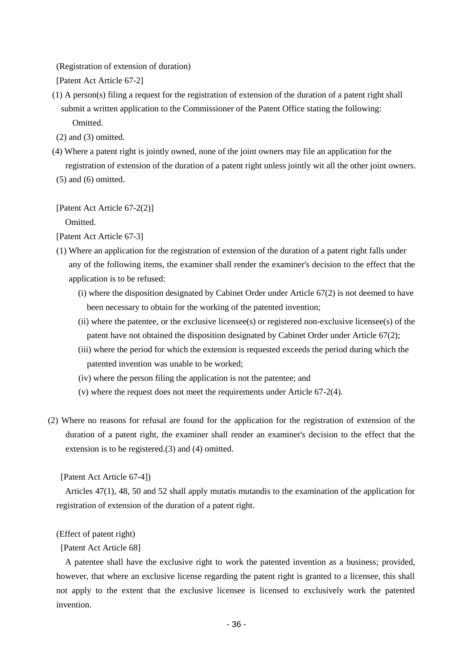(Registration of extension of duration)

[Patent Act Article 67-2]

- (1) A person(s) filing a request for the registration of extension of the duration of a patent right shall submit a written application to the Commissioner of the Patent Office stating the following: Omitted.
- $(2)$  and  $(3)$  omitted.
- (4) Where a patent right is jointly owned, none of the joint owners may file an application for the registration of extension of the duration of a patent right unless jointly wit all the other joint owners.
- $(5)$  and  $(6)$  omitted.

[Patent Act Article 67-2(2)]

Omitted.

- (1) Where an application for the registration of extension of the duration of a patent right falls under any of the following items, the examiner shall render the examiner's decision to the effect that the application is to be refused:
	- (i) where the disposition designated by Cabinet Order under Article  $67(2)$  is not deemed to have been necessary to obtain for the working of the patented invention;
	- (ii) where the patentee, or the exclusive licensee(s) or registered non-exclusive licensee(s) of the patent have not obtained the disposition designated by Cabinet Order under Article 67(2);
	- (iii) where the period for which the extension is requested exceeds the period during which the patented invention was unable to be worked;
	- (iv) where the person filing the application is not the patentee; and
	- (v) where the request does not meet the requirements under Article 67-2(4).
- (2) Where no reasons for refusal are found for the application for the registration of extension of the duration of a patent right, the examiner shall render an examiner's decision to the effect that the extension is to be registered.(3) and (4) omitted.

[Patent Act Article 67-4])

Articles 47(1), 48, 50 and 52 shall apply mutatis mutandis to the examination of the application for registration of extension of the duration of a patent right.

## (Effect of patent right)

[Patent Act Article 68]

A patentee shall have the exclusive right to work the patented invention as a business; provided, however, that where an exclusive license regarding the patent right is granted to a licensee, this shall not apply to the extent that the exclusive licensee is licensed to exclusively work the patented invention.

<sup>[</sup>Patent Act Article 67-3]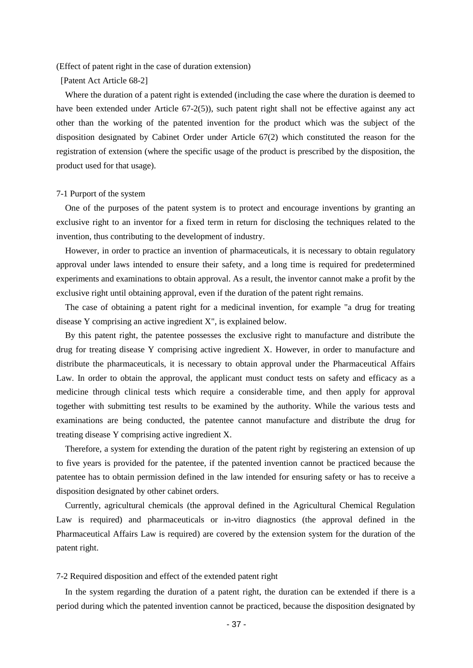(Effect of patent right in the case of duration extension)

[Patent Act Article 68-2]

Where the duration of a patent right is extended (including the case where the duration is deemed to have been extended under Article 67-2(5)), such patent right shall not be effective against any act other than the working of the patented invention for the product which was the subject of the disposition designated by Cabinet Order under Article 67(2) which constituted the reason for the registration of extension (where the specific usage of the product is prescribed by the disposition, the product used for that usage).

## 7-1 Purport of the system

One of the purposes of the patent system is to protect and encourage inventions by granting an exclusive right to an inventor for a fixed term in return for disclosing the techniques related to the invention, thus contributing to the development of industry.

However, in order to practice an invention of pharmaceuticals, it is necessary to obtain regulatory approval under laws intended to ensure their safety, and a long time is required for predetermined experiments and examinations to obtain approval. As a result, the inventor cannot make a profit by the exclusive right until obtaining approval, even if the duration of the patent right remains.

The case of obtaining a patent right for a medicinal invention, for example "a drug for treating disease Y comprising an active ingredient X", is explained below.

By this patent right, the patentee possesses the exclusive right to manufacture and distribute the drug for treating disease Y comprising active ingredient X. However, in order to manufacture and distribute the pharmaceuticals, it is necessary to obtain approval under the Pharmaceutical Affairs Law. In order to obtain the approval, the applicant must conduct tests on safety and efficacy as a medicine through clinical tests which require a considerable time, and then apply for approval together with submitting test results to be examined by the authority. While the various tests and examinations are being conducted, the patentee cannot manufacture and distribute the drug for treating disease Y comprising active ingredient X.

Therefore, a system for extending the duration of the patent right by registering an extension of up to five years is provided for the patentee, if the patented invention cannot be practiced because the patentee has to obtain permission defined in the law intended for ensuring safety or has to receive a disposition designated by other cabinet orders.

Currently, agricultural chemicals (the approval defined in the Agricultural Chemical Regulation Law is required) and pharmaceuticals or in-vitro diagnostics (the approval defined in the Pharmaceutical Affairs Law is required) are covered by the extension system for the duration of the patent right.

## 7-2 Required disposition and effect of the extended patent right

In the system regarding the duration of a patent right, the duration can be extended if there is a period during which the patented invention cannot be practiced, because the disposition designated by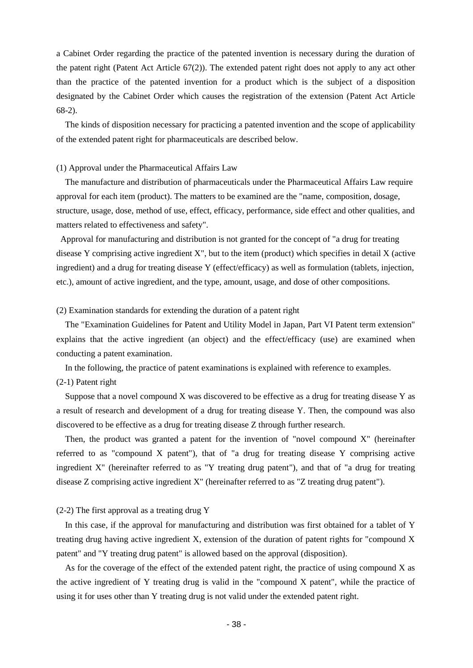a Cabinet Order regarding the practice of the patented invention is necessary during the duration of the patent right (Patent Act Article 67(2)). The extended patent right does not apply to any act other than the practice of the patented invention for a product which is the subject of a disposition designated by the Cabinet Order which causes the registration of the extension (Patent Act Article 68-2).

The kinds of disposition necessary for practicing a patented invention and the scope of applicability of the extended patent right for pharmaceuticals are described below.

## (1) Approval under the Pharmaceutical Affairs Law

The manufacture and distribution of pharmaceuticals under the Pharmaceutical Affairs Law require approval for each item (product). The matters to be examined are the "name, composition, dosage, structure, usage, dose, method of use, effect, efficacy, performance, side effect and other qualities, and matters related to effectiveness and safety".

Approval for manufacturing and distribution is not granted for the concept of "a drug for treating disease Y comprising active ingredient X", but to the item (product) which specifies in detail X (active ingredient) and a drug for treating disease Y (effect/efficacy) as well as formulation (tablets, injection, etc.), amount of active ingredient, and the type, amount, usage, and dose of other compositions.

## (2) Examination standards for extending the duration of a patent right

The "Examination Guidelines for Patent and Utility Model in Japan, Part VI Patent term extension" explains that the active ingredient (an object) and the effect/efficacy (use) are examined when conducting a patent examination.

In the following, the practice of patent examinations is explained with reference to examples.

## (2-1) Patent right

Suppose that a novel compound X was discovered to be effective as a drug for treating disease Y as a result of research and development of a drug for treating disease Y. Then, the compound was also discovered to be effective as a drug for treating disease Z through further research.

Then, the product was granted a patent for the invention of "novel compound  $X$ " (hereinafter referred to as "compound X patent"), that of "a drug for treating disease Y comprising active ingredient X" (hereinafter referred to as "Y treating drug patent"), and that of "a drug for treating disease Z comprising active ingredient X" (hereinafter referred to as "Z treating drug patent").

## (2-2) The first approval as a treating drug Y

In this case, if the approval for manufacturing and distribution was first obtained for a tablet of Y treating drug having active ingredient X, extension of the duration of patent rights for "compound X patent" and "Y treating drug patent" is allowed based on the approval (disposition).

As for the coverage of the effect of the extended patent right, the practice of using compound X as the active ingredient of Y treating drug is valid in the "compound X patent", while the practice of using it for uses other than Y treating drug is not valid under the extended patent right.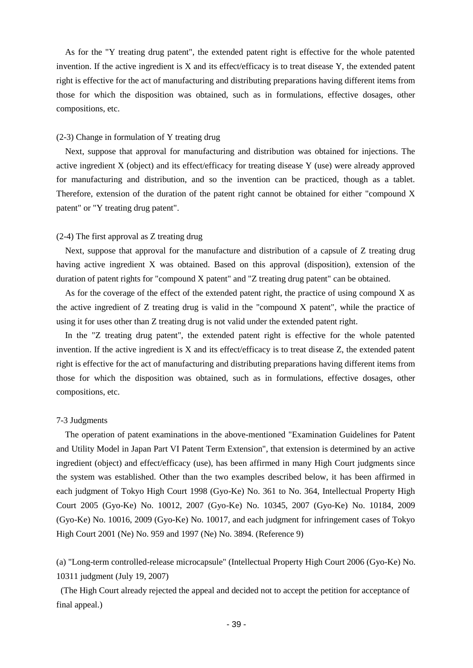As for the "Y treating drug patent", the extended patent right is effective for the whole patented invention. If the active ingredient is X and its effect/efficacy is to treat disease Y, the extended patent right is effective for the act of manufacturing and distributing preparations having different items from those for which the disposition was obtained, such as in formulations, effective dosages, other compositions, etc.

## (2-3) Change in formulation of Y treating drug

Next, suppose that approval for manufacturing and distribution was obtained for injections. The active ingredient X (object) and its effect/efficacy for treating disease Y (use) were already approved for manufacturing and distribution, and so the invention can be practiced, though as a tablet. Therefore, extension of the duration of the patent right cannot be obtained for either "compound X patent" or "Y treating drug patent".

## (2-4) The first approval as Z treating drug

Next, suppose that approval for the manufacture and distribution of a capsule of Z treating drug having active ingredient X was obtained. Based on this approval (disposition), extension of the duration of patent rights for "compound X patent" and "Z treating drug patent" can be obtained.

As for the coverage of the effect of the extended patent right, the practice of using compound X as the active ingredient of Z treating drug is valid in the "compound X patent", while the practice of using it for uses other than Z treating drug is not valid under the extended patent right.

In the "Z treating drug patent", the extended patent right is effective for the whole patented invention. If the active ingredient is X and its effect/efficacy is to treat disease Z, the extended patent right is effective for the act of manufacturing and distributing preparations having different items from those for which the disposition was obtained, such as in formulations, effective dosages, other compositions, etc.

## 7-3 Judgments

The operation of patent examinations in the above-mentioned "Examination Guidelines for Patent and Utility Model in Japan Part VI Patent Term Extension", that extension is determined by an active ingredient (object) and effect/efficacy (use), has been affirmed in many High Court judgments since the system was established. Other than the two examples described below, it has been affirmed in each judgment of Tokyo High Court 1998 (Gyo-Ke) No. 361 to No. 364, Intellectual Property High Court 2005 (Gyo-Ke) No. 10012, 2007 (Gyo-Ke) No. 10345, 2007 (Gyo-Ke) No. 10184, 2009 (Gyo-Ke) No. 10016, 2009 (Gyo-Ke) No. 10017, and each judgment for infringement cases of Tokyo High Court 2001 (Ne) No. 959 and 1997 (Ne) No. 3894. (Reference 9)

(a) "Long-term controlled-release microcapsule" (Intellectual Property High Court 2006 (Gyo-Ke) No. 10311 judgment (July 19, 2007)

(The High Court already rejected the appeal and decided not to accept the petition for acceptance of final appeal.)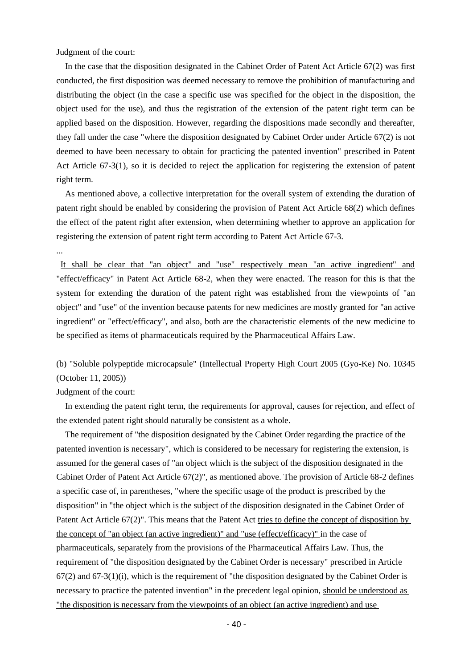Judgment of the court:

In the case that the disposition designated in the Cabinet Order of Patent Act Article 67(2) was first conducted, the first disposition was deemed necessary to remove the prohibition of manufacturing and distributing the object (in the case a specific use was specified for the object in the disposition, the object used for the use), and thus the registration of the extension of the patent right term can be applied based on the disposition. However, regarding the dispositions made secondly and thereafter, they fall under the case "where the disposition designated by Cabinet Order under Article 67(2) is not deemed to have been necessary to obtain for practicing the patented invention" prescribed in Patent Act Article 67-3(1), so it is decided to reject the application for registering the extension of patent right term.

As mentioned above, a collective interpretation for the overall system of extending the duration of patent right should be enabled by considering the provision of Patent Act Article 68(2) which defines the effect of the patent right after extension, when determining whether to approve an application for registering the extension of patent right term according to Patent Act Article 67-3.

...

It shall be clear that "an object" and "use" respectively mean "an active ingredient" and "effect/efficacy" in Patent Act Article 68-2, when they were enacted. The reason for this is that the system for extending the duration of the patent right was established from the viewpoints of "an object" and "use" of the invention because patents for new medicines are mostly granted for "an active ingredient" or "effect/efficacy", and also, both are the characteristic elements of the new medicine to be specified as items of pharmaceuticals required by the Pharmaceutical Affairs Law.

(b) "Soluble polypeptide microcapsule" (Intellectual Property High Court 2005 (Gyo-Ke) No. 10345 (October 11, 2005))

Judgment of the court:

In extending the patent right term, the requirements for approval, causes for rejection, and effect of the extended patent right should naturally be consistent as a whole.

The requirement of "the disposition designated by the Cabinet Order regarding the practice of the patented invention is necessary", which is considered to be necessary for registering the extension, is assumed for the general cases of "an object which is the subject of the disposition designated in the Cabinet Order of Patent Act Article 67(2)", as mentioned above. The provision of Article 68-2 defines a specific case of, in parentheses, "where the specific usage of the product is prescribed by the disposition" in "the object which is the subject of the disposition designated in the Cabinet Order of Patent Act Article 67(2)". This means that the Patent Act tries to define the concept of disposition by the concept of "an object (an active ingredient)" and "use (effect/efficacy)" in the case of pharmaceuticals, separately from the provisions of the Pharmaceutical Affairs Law. Thus, the requirement of "the disposition designated by the Cabinet Order is necessary" prescribed in Article 67(2) and 67-3(1)(i), which is the requirement of "the disposition designated by the Cabinet Order is necessary to practice the patented invention" in the precedent legal opinion, should be understood as "the disposition is necessary from the viewpoints of an object (an active ingredient) and use